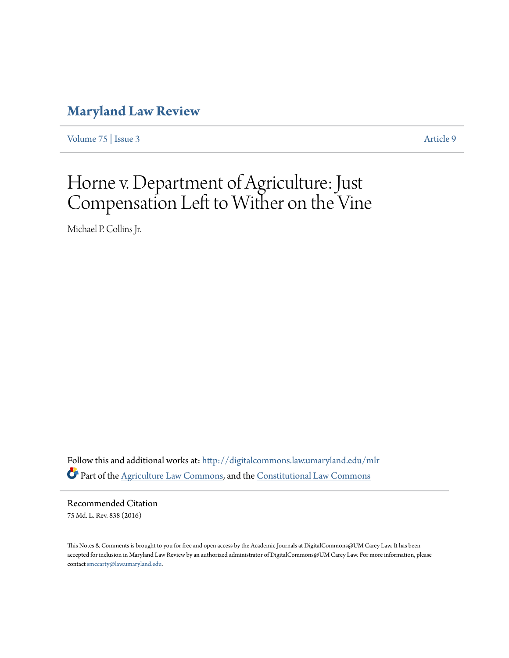# **[Maryland Law Review](http://digitalcommons.law.umaryland.edu/mlr?utm_source=digitalcommons.law.umaryland.edu%2Fmlr%2Fvol75%2Fiss3%2F9&utm_medium=PDF&utm_campaign=PDFCoverPages)**

[Volume 75](http://digitalcommons.law.umaryland.edu/mlr/vol75?utm_source=digitalcommons.law.umaryland.edu%2Fmlr%2Fvol75%2Fiss3%2F9&utm_medium=PDF&utm_campaign=PDFCoverPages) | [Issue 3](http://digitalcommons.law.umaryland.edu/mlr/vol75/iss3?utm_source=digitalcommons.law.umaryland.edu%2Fmlr%2Fvol75%2Fiss3%2F9&utm_medium=PDF&utm_campaign=PDFCoverPages) [Article 9](http://digitalcommons.law.umaryland.edu/mlr/vol75/iss3/9?utm_source=digitalcommons.law.umaryland.edu%2Fmlr%2Fvol75%2Fiss3%2F9&utm_medium=PDF&utm_campaign=PDFCoverPages)

# Horne v. Department of Agriculture: Just Compensation Left to Wither on the Vine

Michael P. Collins Jr.

Follow this and additional works at: [http://digitalcommons.law.umaryland.edu/mlr](http://digitalcommons.law.umaryland.edu/mlr?utm_source=digitalcommons.law.umaryland.edu%2Fmlr%2Fvol75%2Fiss3%2F9&utm_medium=PDF&utm_campaign=PDFCoverPages) Part of the [Agriculture Law Commons](http://network.bepress.com/hgg/discipline/581?utm_source=digitalcommons.law.umaryland.edu%2Fmlr%2Fvol75%2Fiss3%2F9&utm_medium=PDF&utm_campaign=PDFCoverPages), and the [Constitutional Law Commons](http://network.bepress.com/hgg/discipline/589?utm_source=digitalcommons.law.umaryland.edu%2Fmlr%2Fvol75%2Fiss3%2F9&utm_medium=PDF&utm_campaign=PDFCoverPages)

Recommended Citation 75 Md. L. Rev. 838 (2016)

This Notes & Comments is brought to you for free and open access by the Academic Journals at DigitalCommons@UM Carey Law. It has been accepted for inclusion in Maryland Law Review by an authorized administrator of DigitalCommons@UM Carey Law. For more information, please contact [smccarty@law.umaryland.edu.](mailto:smccarty@law.umaryland.edu)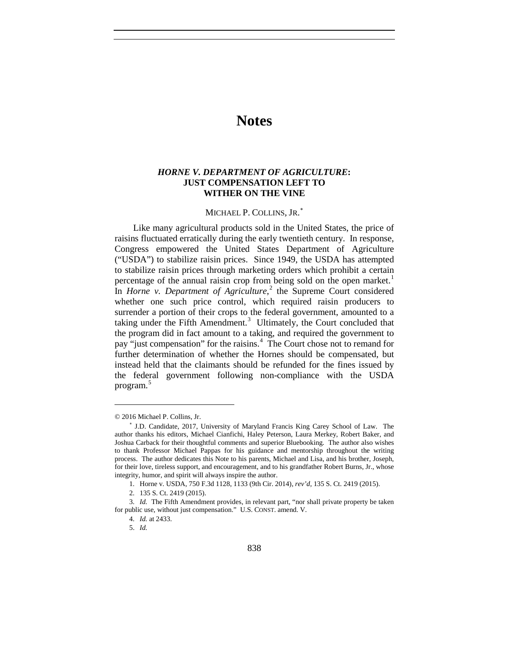# **Notes**

# *HORNE V. DEPARTMENT OF AGRICULTURE***: JUST COMPENSATION LEFT TO WITHER ON THE VINE**

# MICHAEL P. COLLINS, JR.<sup>\*</sup>

Like many agricultural products sold in the United States, the price of raisins fluctuated erratically during the early twentieth century. In response, Congress empowered the United States Department of Agriculture ("USDA") to stabilize raisin prices. Since 1949, the USDA has attempted to stabilize raisin prices through marketing orders which prohibit a certain percentage of the annual raisin crop from being sold on the open market.<sup>[1](#page-1-1)</sup> In *Horne v. Department of Agriculture*,<sup>[2](#page-1-2)</sup> the Supreme Court considered whether one such price control, which required raisin producers to surrender a portion of their crops to the federal government, amounted to a taking under the Fifth Amendment.<sup>[3](#page-1-3)</sup> Ultimately, the Court concluded that the program did in fact amount to a taking, and required the government to pay "just compensation" for the raisins.<sup>[4](#page-1-4)</sup> The Court chose not to remand for further determination of whether the Hornes should be compensated, but instead held that the claimants should be refunded for the fines issued by the federal government following non-compliance with the USDA program. [5](#page-1-5)

<sup>© 2016</sup> Michael P. Collins, Jr.

<span id="page-1-0"></span><sup>∗</sup> J.D. Candidate, 2017, University of Maryland Francis King Carey School of Law. The author thanks his editors, Michael Cianfichi, Haley Peterson, Laura Merkey, Robert Baker, and Joshua Carback for their thoughtful comments and superior Bluebooking. The author also wishes to thank Professor Michael Pappas for his guidance and mentorship throughout the writing process. The author dedicates this Note to his parents, Michael and Lisa, and his brother, Joseph, for their love, tireless support, and encouragement, and to his grandfather Robert Burns, Jr., whose integrity, humor, and spirit will always inspire the author.

<sup>1.</sup> Horne v. USDA, 750 F.3d 1128, 1133 (9th Cir. 2014), *rev'd*, 135 S. Ct. 2419 (2015).

<sup>2.</sup> 135 S. Ct. 2419 (2015).

<span id="page-1-5"></span><span id="page-1-4"></span><span id="page-1-3"></span><span id="page-1-2"></span><span id="page-1-1"></span><sup>3.</sup> *Id.* The Fifth Amendment provides, in relevant part, "nor shall private property be taken for public use, without just compensation." U.S. CONST. amend. V.

<sup>4.</sup> *Id.* at 2433.

<sup>5.</sup> *Id.*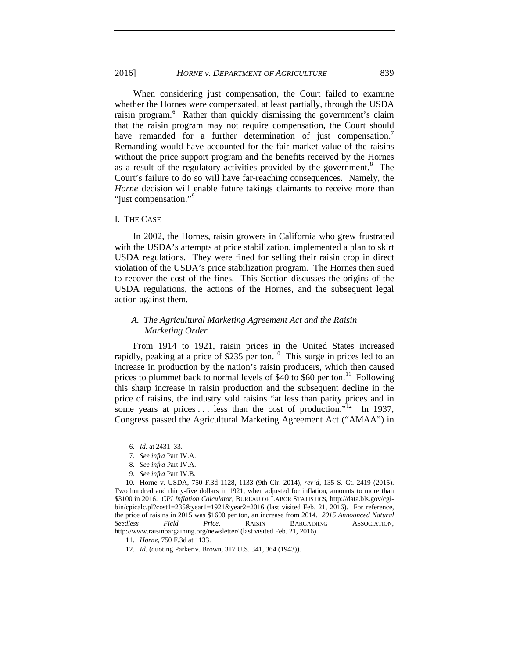When considering just compensation, the Court failed to examine whether the Hornes were compensated, at least partially, through the USDA raisin program.<sup>[6](#page-2-0)</sup> Rather than quickly dismissing the government's claim that the raisin program may not require compensation, the Court should have remanded for a further determination of just compensation.<sup>[7](#page-2-1)</sup> Remanding would have accounted for the fair market value of the raisins without the price support program and the benefits received by the Hornes as a result of the regulatory activities provided by the government. $8$  The Court's failure to do so will have far-reaching consequences. Namely, the *Horne* decision will enable future takings claimants to receive more than "just compensation."<sup>[9](#page-2-3)</sup>

#### I. THE CASE

In 2002, the Hornes, raisin growers in California who grew frustrated with the USDA's attempts at price stabilization, implemented a plan to skirt USDA regulations. They were fined for selling their raisin crop in direct violation of the USDA's price stabilization program. The Hornes then sued to recover the cost of the fines. This Section discusses the origins of the USDA regulations, the actions of the Hornes, and the subsequent legal action against them.

### *A. The Agricultural Marketing Agreement Act and the Raisin Marketing Order*

From 1914 to 1921, raisin prices in the United States increased rapidly, peaking at a price of \$235 per ton.<sup>[10](#page-2-4)</sup> This surge in prices led to an increase in production by the nation's raisin producers, which then caused prices to plummet back to normal levels of \$40 to \$60 per ton.<sup>11</sup> Following this sharp increase in raisin production and the subsequent decline in the price of raisins, the industry sold raisins "at less than parity prices and in some years at prices . . . less than the cost of production."<sup>[12](#page-2-6)</sup> In 1937, Congress passed the Agricultural Marketing Agreement Act ("AMAA") in

<sup>6.</sup> *Id.* at 2431–33.

<sup>7.</sup> *See infra* Part IV.A.

<sup>8.</sup> *See infra* Part IV.A.

<sup>9.</sup> *See infra* Part IV.B.

<span id="page-2-4"></span><span id="page-2-3"></span><span id="page-2-2"></span><span id="page-2-1"></span><span id="page-2-0"></span><sup>10.</sup> Horne v. USDA, 750 F.3d 1128, 1133 (9th Cir. 2014), *rev'd*, 135 S. Ct. 2419 (2015). Two hundred and thirty-five dollars in 1921, when adjusted for inflation, amounts to more than \$3100 in 2016. *CPI Inflation Calculator*, BUREAU OF LABOR STATISTICS, http://data.bls.gov/cgibin/cpicalc.pl?cost1=235&year1=1921&year2=2016 (last visited Feb. 21, 2016). For reference, the price of raisins in 2015 was \$1600 per ton, an increase from 2014. *2015 Announced Natural Seedless Field Price*, RAISIN BARGAINING ASSOCIATION, http://www.raisinbargaining.org/newsletter/ (last visited Feb. 21, 2016).

<sup>11.</sup> *Horne*, 750 F.3d at 1133.

<span id="page-2-6"></span><span id="page-2-5"></span><sup>12.</sup> *Id.* (quoting Parker v. Brown, 317 U.S. 341, 364 (1943)).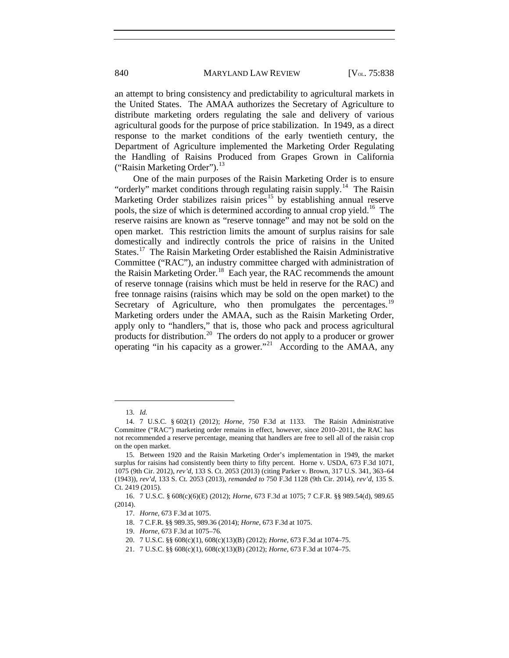an attempt to bring consistency and predictability to agricultural markets in the United States. The AMAA authorizes the Secretary of Agriculture to distribute marketing orders regulating the sale and delivery of various agricultural goods for the purpose of price stabilization. In 1949, as a direct response to the market conditions of the early twentieth century, the Department of Agriculture implemented the Marketing Order Regulating the Handling of Raisins Produced from Grapes Grown in California ("Raisin Marketing Order"). $^{13}$  $^{13}$  $^{13}$ 

<span id="page-3-9"></span>One of the main purposes of the Raisin Marketing Order is to ensure "orderly" market conditions through regulating raisin supply.<sup>14</sup> The Raisin Marketing Order stabilizes raisin prices<sup>[15](#page-3-2)</sup> by establishing annual reserve pools, the size of which is determined according to annual crop yield.[16](#page-3-3) The reserve raisins are known as "reserve tonnage" and may not be sold on the open market. This restriction limits the amount of surplus raisins for sale domestically and indirectly controls the price of raisins in the United States.<sup>[17](#page-3-4)</sup> The Raisin Marketing Order established the Raisin Administrative Committee ("RAC"), an industry committee charged with administration of the Raisin Marketing Order.<sup>18</sup> Each year, the RAC recommends the amount of reserve tonnage (raisins which must be held in reserve for the RAC) and free tonnage raisins (raisins which may be sold on the open market) to the Secretary of Agriculture, who then promulgates the percentages.<sup>[19](#page-3-6)</sup> Marketing orders under the AMAA, such as the Raisin Marketing Order, apply only to "handlers," that is, those who pack and process agricultural products for distribution.<sup>[20](#page-3-7)</sup> The orders do not apply to a producer or grower operating "in his capacity as a grower."<sup>[21](#page-3-8)</sup> According to the AMAA, any

<sup>13.</sup> *Id.*

<span id="page-3-1"></span><span id="page-3-0"></span><sup>14.</sup> 7 U.S.C. § 602(1) (2012); *Horne*, 750 F.3d at 1133. The Raisin Administrative Committee ("RAC") marketing order remains in effect, however, since 2010–2011, the RAC has not recommended a reserve percentage, meaning that handlers are free to sell all of the raisin crop on the open market.

<span id="page-3-2"></span><sup>15.</sup> Between 1920 and the Raisin Marketing Order's implementation in 1949, the market surplus for raisins had consistently been thirty to fifty percent. Horne v. USDA, 673 F.3d 1071, 1075 (9th Cir. 2012), *rev'd*, 133 S. Ct. 2053 (2013) (citing Parker v. Brown, 317 U.S. 341, 363–64 (1943)), *rev'd*, 133 S. Ct. 2053 (2013), *remanded to* 750 F.3d 1128 (9th Cir. 2014), *rev'd*, 135 S. Ct. 2419 (2015).

<span id="page-3-7"></span><span id="page-3-6"></span><span id="page-3-5"></span><span id="page-3-4"></span><span id="page-3-3"></span><sup>16.</sup> 7 U.S.C. § 608(c)(6)(E) (2012); *Horne*, 673 F.3d at 1075; 7 C.F.R. §§ 989.54(d), 989.65 (2014).

<sup>17.</sup> *Horne*, 673 F.3d at 1075.

<sup>18.</sup> 7 C.F.R. §§ 989.35, 989.36 (2014); *Horne*, 673 F.3d at 1075.

<sup>19.</sup> *Horne*, 673 F.3d at 1075–76.

<sup>20.</sup> 7 U.S.C. §§ 608(c)(1), 608(c)(13)(B) (2012); *Horne*, 673 F.3d at 1074–75.

<span id="page-3-8"></span><sup>21.</sup> 7 U.S.C. §§ 608(c)(1), 608(c)(13)(B) (2012); *Horne*, 673 F.3d at 1074–75.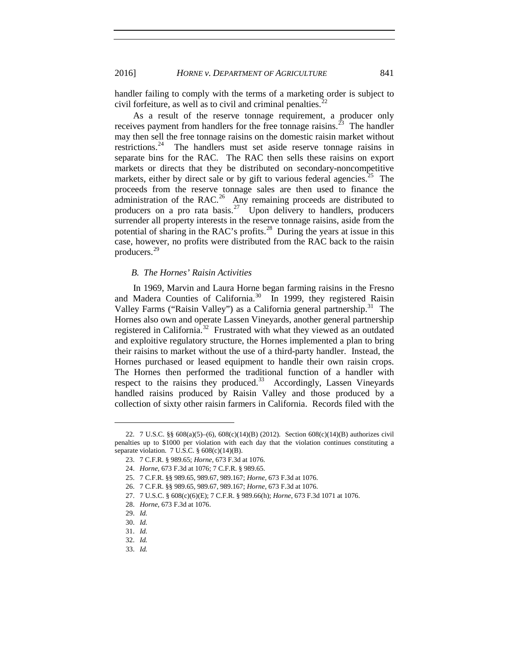handler failing to comply with the terms of a marketing order is subject to civil forfeiture, as well as to civil and criminal penalties. $^{22}$  $^{22}$  $^{22}$ 

As a result of the reserve tonnage requirement, a producer only receives payment from handlers for the free tonnage raisins.<sup>[23](#page-4-1)</sup> The handler may then sell the free tonnage raisins on the domestic raisin market without restrictions.<sup>[24](#page-4-2)</sup> The handlers must set aside reserve tonnage raisins in separate bins for the RAC. The RAC then sells these raisins on export markets or directs that they be distributed on secondary-noncompetitive markets, either by direct sale or by gift to various federal agencies.<sup>25</sup> The proceeds from the reserve tonnage sales are then used to finance the administration of the RAC.<sup>26</sup> Any remaining proceeds are distributed to producers on a pro rata basis.<sup>[27](#page-4-5)</sup> Upon delivery to handlers, producers surrender all property interests in the reserve tonnage raisins, aside from the potential of sharing in the RAC's profits.<sup>28</sup> During the years at issue in this case, however, no profits were distributed from the RAC back to the raisin producers.[29](#page-4-7)

#### *B. The Hornes' Raisin Activities*

In 1969, Marvin and Laura Horne began farming raisins in the Fresno and Madera Counties of California.<sup>[30](#page-4-8)</sup> In 1999, they registered Raisin Valley Farms ("Raisin Valley") as a California general partnership.<sup>[31](#page-4-9)</sup> The Hornes also own and operate Lassen Vineyards, another general partnership registered in California.<sup>[32](#page-4-10)</sup> Frustrated with what they viewed as an outdated and exploitive regulatory structure, the Hornes implemented a plan to bring their raisins to market without the use of a third-party handler. Instead, the Hornes purchased or leased equipment to handle their own raisin crops. The Hornes then performed the traditional function of a handler with respect to the raisins they produced.<sup>[33](#page-4-11)</sup> Accordingly, Lassen Vineyards handled raisins produced by Raisin Valley and those produced by a collection of sixty other raisin farmers in California. Records filed with the

<span id="page-4-12"></span>

<span id="page-4-3"></span><span id="page-4-2"></span><span id="page-4-1"></span><span id="page-4-0"></span><sup>22.</sup> 7 U.S.C. §§ 608(a)(5)–(6), 608(c)(14)(B) (2012). Section 608(c)(14)(B) authorizes civil penalties up to \$1000 per violation with each day that the violation continues constituting a separate violation. 7 U.S.C. § 608(c)(14)(B).

<sup>23.</sup> 7 C.F.R. § 989.65; *Horne*, 673 F.3d at 1076.

<sup>24.</sup> *Horne*, 673 F.3d at 1076; 7 C.F.R. § 989.65.

<span id="page-4-4"></span><sup>25.</sup> 7 C.F.R. §§ 989.65, 989.67, 989.167; *Horne*, 673 F.3d at 1076.

<sup>26.</sup> 7 C.F.R. §§ 989.65, 989.67, 989.167; *Horne*, 673 F.3d at 1076.

<span id="page-4-5"></span><sup>27.</sup> 7 U.S.C. § 608(c)(6)(E); 7 C.F.R. § 989.66(h); *Horne*, 673 F.3d 1071 at 1076.

<sup>28.</sup> *Horne*, 673 F.3d at 1076.

<span id="page-4-7"></span><span id="page-4-6"></span><sup>29.</sup> *Id.* 

<span id="page-4-8"></span><sup>30.</sup> *Id.*

<span id="page-4-10"></span><span id="page-4-9"></span><sup>31.</sup> *Id.* 

<sup>32.</sup> *Id.*

<span id="page-4-11"></span><sup>33.</sup> *Id.*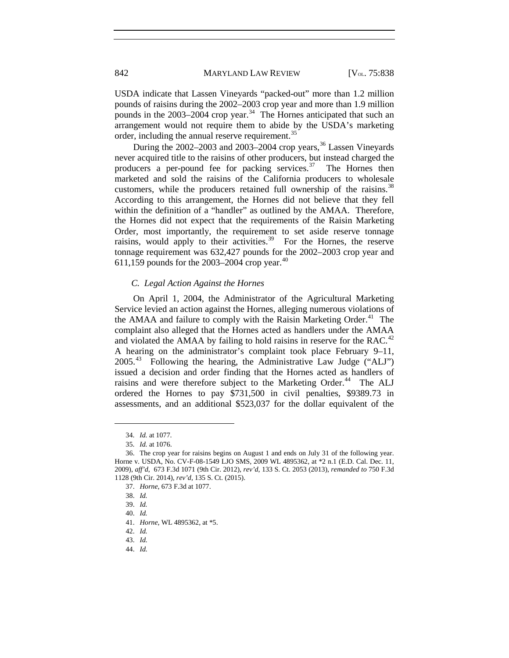USDA indicate that Lassen Vineyards "packed-out" more than 1.2 million pounds of raisins during the 2002–2003 crop year and more than 1.9 million pounds in the  $2003-2004$  crop year.<sup>34</sup> The Hornes anticipated that such an arrangement would not require them to abide by the USDA's marketing order, including the annual reserve requirement.<sup>[35](#page-5-1)</sup>

During the  $2002-2003$  and  $2003-2004$  crop years,  $36$  Lassen Vineyards never acquired title to the raisins of other producers, but instead charged the producers a per-pound fee for packing services. $37$  The Hornes then marketed and sold the raisins of the California producers to wholesale customers, while the producers retained full ownership of the raisins.<sup>[38](#page-5-4)</sup> According to this arrangement, the Hornes did not believe that they fell within the definition of a "handler" as outlined by the AMAA. Therefore, the Hornes did not expect that the requirements of the Raisin Marketing Order, most importantly, the requirement to set aside reserve tonnage raisins, would apply to their activities.<sup>39</sup> For the Hornes, the reserve tonnage requirement was 632,427 pounds for the 2002–2003 crop year and 611,159 pounds for the 2003–2004 crop year.<sup>[40](#page-5-6)</sup>

#### *C. Legal Action Against the Hornes*

On April 1, 2004, the Administrator of the Agricultural Marketing Service levied an action against the Hornes, alleging numerous violations of the AMAA and failure to comply with the Raisin Marketing Order.<sup>41</sup> The complaint also alleged that the Hornes acted as handlers under the AMAA and violated the AMAA by failing to hold raisins in reserve for the RAC.<sup>[42](#page-5-8)</sup> A hearing on the administrator's complaint took place February 9–11,  $2005.<sup>43</sup>$  $2005.<sup>43</sup>$  $2005.<sup>43</sup>$  Following the hearing, the Administrative Law Judge ("ALJ") issued a decision and order finding that the Hornes acted as handlers of raisins and were therefore subject to the Marketing Order.<sup>44</sup> The ALJ ordered the Hornes to pay \$731,500 in civil penalties, \$9389.73 in assessments, and an additional \$523,037 for the dollar equivalent of the

<sup>34.</sup> *Id.* at 1077.

<sup>35.</sup> *Id.* at 1076.

<span id="page-5-5"></span><span id="page-5-4"></span><span id="page-5-3"></span><span id="page-5-2"></span><span id="page-5-1"></span><span id="page-5-0"></span><sup>36.</sup> The crop year for raisins begins on August 1 and ends on July 31 of the following year. Horne v. USDA, No. CV-F-08-1549 LJO SMS, 2009 WL 4895362, at \*2 n.1 (E.D. Cal. Dec. 11, 2009), *aff'd*, 673 F.3d 1071 (9th Cir. 2012), *rev'd*, 133 S. Ct. 2053 (2013), *remanded to* 750 F.3d 1128 (9th Cir. 2014), *rev'd*, 135 S. Ct. (2015).

<sup>37.</sup> *Horne*, 673 F.3d at 1077.

<sup>38.</sup> *Id.* 

<sup>39.</sup> *Id.* 

<sup>40.</sup> *Id.* 

<span id="page-5-8"></span><span id="page-5-7"></span><span id="page-5-6"></span><sup>41.</sup> *Horne*, WL 4895362, at \*5.

<sup>42.</sup> *Id.* 

<sup>43.</sup> *Id.* 

<span id="page-5-10"></span><span id="page-5-9"></span><sup>44.</sup> *Id.*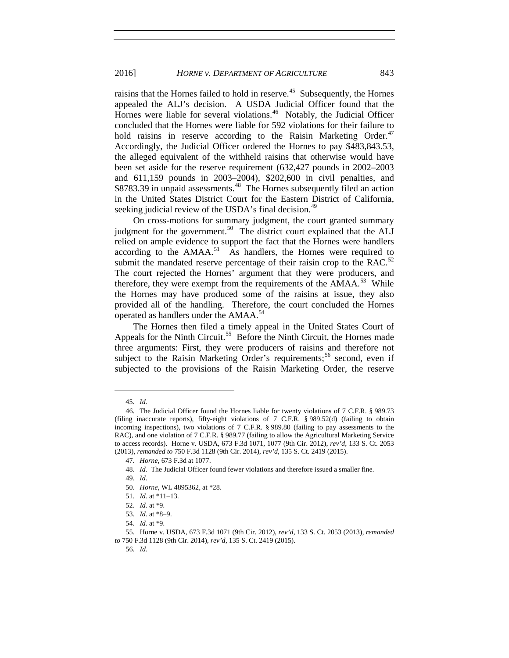raisins that the Hornes failed to hold in reserve.<sup>[45](#page-6-0)</sup> Subsequently, the Hornes appealed the ALJ's decision. A USDA Judicial Officer found that the Hornes were liable for several violations.<sup>46</sup> Notably, the Judicial Officer concluded that the Hornes were liable for 592 violations for their failure to hold raisins in reserve according to the Raisin Marketing Order.<sup>[47](#page-6-2)</sup> Accordingly, the Judicial Officer ordered the Hornes to pay \$483,843.53, the alleged equivalent of the withheld raisins that otherwise would have been set aside for the reserve requirement (632,427 pounds in 2002–2003 and 611,159 pounds in 2003–2004), \$202,600 in civil penalties, and \$8783.39 in unpaid assessments.<sup>48</sup> The Hornes subsequently filed an action in the United States District Court for the Eastern District of California, seeking judicial review of the USDA's final decision.<sup>[49](#page-6-4)</sup>

On cross-motions for summary judgment, the court granted summary judgment for the government. $50$  The district court explained that the ALJ relied on ample evidence to support the fact that the Hornes were handlers according to the  $AMAA$ <sup>[51](#page-6-6)</sup> As handlers, the Hornes were required to submit the mandated reserve percentage of their raisin crop to the RAC.<sup>[52](#page-6-7)</sup> The court rejected the Hornes' argument that they were producers, and therefore, they were exempt from the requirements of the  $AMAA$ <sup>53</sup>. While the Hornes may have produced some of the raisins at issue, they also provided all of the handling. Therefore, the court concluded the Hornes operated as handlers under the AMAA.<sup>[54](#page-6-9)</sup>

The Hornes then filed a timely appeal in the United States Court of Appeals for the Ninth Circuit.<sup>55</sup> Before the Ninth Circuit, the Hornes made three arguments: First, they were producers of raisins and therefore not subject to the Raisin Marketing Order's requirements;<sup>[56](#page-6-11)</sup> second, even if subjected to the provisions of the Raisin Marketing Order, the reserve

 $\overline{a}$ 

56. *Id.*

<sup>45.</sup> *Id.* 

<span id="page-6-2"></span><span id="page-6-1"></span><span id="page-6-0"></span><sup>46.</sup> The Judicial Officer found the Hornes liable for twenty violations of 7 C.F.R. § 989.73 (filing inaccurate reports), fifty-eight violations of 7 C.F.R. § 989.52(d) (failing to obtain incoming inspections), two violations of 7 C.F.R. § 989.80 (failing to pay assessments to the RAC), and one violation of 7 C.F.R. § 989.77 (failing to allow the Agricultural Marketing Service to access records). Horne v. USDA, 673 F.3d 1071, 1077 (9th Cir. 2012), *rev'd*, 133 S. Ct. 2053 (2013), *remanded to* 750 F.3d 1128 (9th Cir. 2014), *rev'd*, 135 S. Ct. 2419 (2015).

<sup>47.</sup> *Horne*, 673 F.3d at 1077.

<span id="page-6-3"></span><sup>48.</sup> *Id.* The Judicial Officer found fewer violations and therefore issued a smaller fine.

<span id="page-6-4"></span><sup>49.</sup> *Id*.

<sup>50.</sup> *Horne*, WL 4895362, at \*28.

<sup>51.</sup> *Id.* at \*11–13.

<sup>52.</sup> *Id.* at \*9.

<sup>53.</sup> *Id.* at \*8–9.

<sup>54.</sup> *Id.* at \*9.

<span id="page-6-11"></span><span id="page-6-10"></span><span id="page-6-9"></span><span id="page-6-8"></span><span id="page-6-7"></span><span id="page-6-6"></span><span id="page-6-5"></span><sup>55.</sup> Horne v. USDA, 673 F.3d 1071 (9th Cir. 2012), *rev'd*, 133 S. Ct. 2053 (2013), *remanded to* 750 F.3d 1128 (9th Cir. 2014), *rev'd*, 135 S. Ct. 2419 (2015).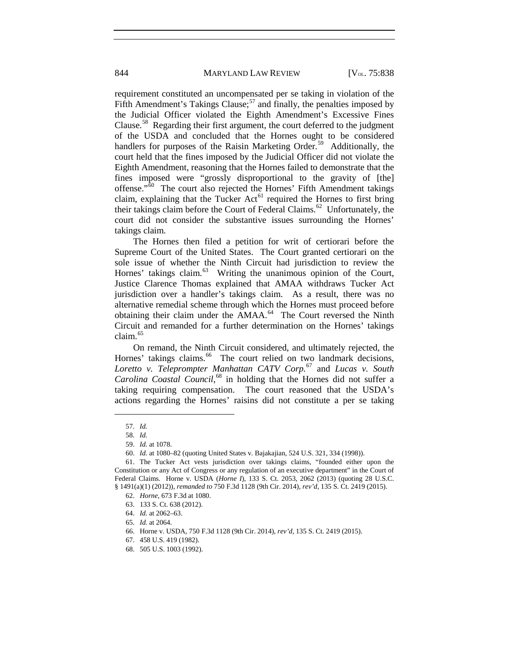844 MARYLAND LAW REVIEW [V<sub>OL.</sub> 75:838]

requirement constituted an uncompensated per se taking in violation of the Fifth Amendment's Takings Clause;<sup>[57](#page-7-0)</sup> and finally, the penalties imposed by the Judicial Officer violated the Eighth Amendment's Excessive Fines Clause.[58](#page-7-1) Regarding their first argument, the court deferred to the judgment of the USDA and concluded that the Hornes ought to be considered handlers for purposes of the Raisin Marketing Order.<sup>[59](#page-7-2)</sup> Additionally, the court held that the fines imposed by the Judicial Officer did not violate the Eighth Amendment, reasoning that the Hornes failed to demonstrate that the fines imposed were "grossly disproportional to the gravity of [the] offense."[60](#page-7-3) The court also rejected the Hornes' Fifth Amendment takings claim, explaining that the Tucker Act<sup>[61](#page-7-4)</sup> required the Hornes to first bring their takings claim before the Court of Federal Claims.<sup>[62](#page-7-5)</sup> Unfortunately, the court did not consider the substantive issues surrounding the Hornes' takings claim.

The Hornes then filed a petition for writ of certiorari before the Supreme Court of the United States. The Court granted certiorari on the sole issue of whether the Ninth Circuit had jurisdiction to review the Hornes' takings claim.<sup>63</sup> Writing the unanimous opinion of the Court, Justice Clarence Thomas explained that AMAA withdraws Tucker Act jurisdiction over a handler's takings claim. As a result, there was no alternative remedial scheme through which the Hornes must proceed before obtaining their claim under the AMAA.<sup>[64](#page-7-7)</sup> The Court reversed the Ninth Circuit and remanded for a further determination on the Hornes' takings claim.[65](#page-7-8)

On remand, the Ninth Circuit considered, and ultimately rejected, the Hornes' takings claims.<sup>66</sup> The court relied on two landmark decisions, *Loretto v. Teleprompter Manhattan CATV Corp.* [67](#page-7-10) and *Lucas v. South Carolina Coastal Council*, [68](#page-7-11) in holding that the Hornes did not suffer a taking requiring compensation. The court reasoned that the USDA's actions regarding the Hornes' raisins did not constitute a per se taking

<sup>57.</sup> *Id.* 

<sup>58.</sup> *Id.* 

<sup>59.</sup> *Id.* at 1078.

<sup>60.</sup> *Id.* at 1080–82 (quoting United States v. Bajakajian, 524 U.S. 321, 334 (1998)).

<span id="page-7-7"></span><span id="page-7-6"></span><span id="page-7-5"></span><span id="page-7-4"></span><span id="page-7-3"></span><span id="page-7-2"></span><span id="page-7-1"></span><span id="page-7-0"></span><sup>61.</sup> The Tucker Act vests jurisdiction over takings claims, "founded either upon the Constitution or any Act of Congress or any regulation of an executive department" in the Court of Federal Claims. Horne v. USDA (*Horne I*), 133 S. Ct. 2053, 2062 (2013) (quoting 28 U.S.C. § 1491(a)(1) (2012)), *remanded to* 750 F.3d 1128 (9th Cir. 2014), *rev'd*, 135 S. Ct. 2419 (2015).

<sup>62.</sup> *Horne*, 673 F.3d at 1080.

<sup>63.</sup> 133 S. Ct. 638 (2012).

<sup>64.</sup> *Id.* at 2062–63.

<span id="page-7-8"></span><sup>65.</sup> *Id.* at 2064.

<span id="page-7-9"></span><sup>66.</sup> Horne v. USDA, 750 F.3d 1128 (9th Cir. 2014), *rev'd*, 135 S. Ct. 2419 (2015).

<span id="page-7-10"></span><sup>67.</sup> 458 U.S. 419 (1982).

<span id="page-7-11"></span><sup>68.</sup> 505 U.S. 1003 (1992).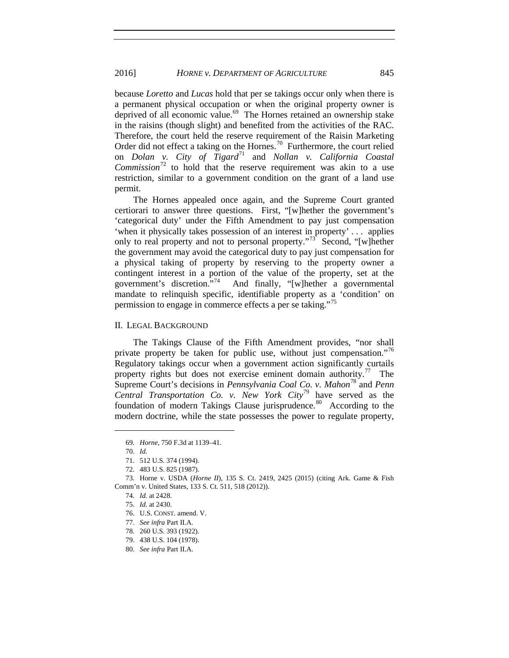because *Loretto* and *Lucas* hold that per se takings occur only when there is a permanent physical occupation or when the original property owner is deprived of all economic value. [69](#page-8-0) The Hornes retained an ownership stake in the raisins (though slight) and benefited from the activities of the RAC. Therefore, the court held the reserve requirement of the Raisin Marketing Order did not effect a taking on the Hornes.<sup>70</sup> Furthermore, the court relied on *Dolan v. City of Tigard*[71](#page-8-2) and *Nollan v. California Coastal Commission*<sup> $72$ </sup> to hold that the reserve requirement was akin to a use restriction, similar to a government condition on the grant of a land use permit.

The Hornes appealed once again, and the Supreme Court granted certiorari to answer three questions. First, "[w]hether the government's 'categorical duty' under the Fifth Amendment to pay just compensation 'when it physically takes possession of an interest in property' . . . applies only to real property and not to personal property."<sup>[73](#page-8-4)</sup> Second, "[w]hether the government may avoid the categorical duty to pay just compensation for a physical taking of property by reserving to the property owner a contingent interest in a portion of the value of the property, set at the government's discretion.<sup>574</sup> And finally, "[w]hether a governmental mandate to relinquish specific, identifiable property as a 'condition' on permission to engage in commerce effects a per se taking."<sup>[75](#page-8-6)</sup>

#### II. LEGAL BACKGROUND

The Takings Clause of the Fifth Amendment provides, "nor shall private property be taken for public use, without just compensation."<sup>[76](#page-8-7)</sup> Regulatory takings occur when a government action significantly curtails property rights but does not exercise eminent domain authority.<sup>[77](#page-8-8)</sup> The Supreme Court's decisions in *Pennsylvania Coal Co. v. Mahon*[78](#page-8-9) and *Penn Central Transportation Co. v. New York City*[79](#page-8-10) have served as the foundation of modern Takings Clause jurisprudence.<sup>[80](#page-8-11)</sup> According to the modern doctrine, while the state possesses the power to regulate property,

<sup>69.</sup> *Horne*, 750 F.3d at 1139–41.

<sup>70.</sup> *Id.*

<sup>71.</sup> 512 U.S. 374 (1994).

<sup>72.</sup> 483 U.S. 825 (1987).

<span id="page-8-8"></span><span id="page-8-7"></span><span id="page-8-6"></span><span id="page-8-5"></span><span id="page-8-4"></span><span id="page-8-3"></span><span id="page-8-2"></span><span id="page-8-1"></span><span id="page-8-0"></span><sup>73.</sup> Horne v. USDA (*Horne II*), 135 S. Ct. 2419, 2425 (2015) (citing Ark. Game & Fish Comm'n v. United States, 133 S. Ct. 511, 518 (2012)).

<sup>74.</sup> *Id.* at 2428.

<sup>75.</sup> *Id.* at 2430.

<sup>76.</sup> U.S. CONST. amend. V.

<sup>77.</sup> *See infra* Part II.A.

<span id="page-8-9"></span><sup>78.</sup> 260 U.S. 393 (1922).

<span id="page-8-11"></span><span id="page-8-10"></span><sup>79.</sup> 438 U.S. 104 (1978).

<sup>80.</sup> *See infra* Part II.A.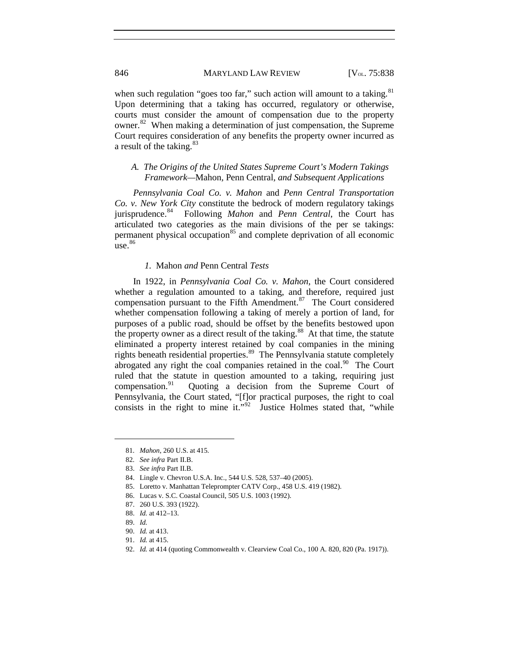when such regulation "goes too far," such action will amount to a taking.  $81$ Upon determining that a taking has occurred, regulatory or otherwise, courts must consider the amount of compensation due to the property owner.<sup>82</sup> When making a determination of just compensation, the Supreme Court requires consideration of any benefits the property owner incurred as a result of the taking.<sup>[83](#page-9-2)</sup>

# *A. The Origins of the United States Supreme Court's Modern Takings Framework—*Mahon*,* Penn Central*, and Subsequent Applications*

*Pennsylvania Coal Co. v. Mahon* and *Penn Central Transportation Co. v. New York City* constitute the bedrock of modern regulatory takings jurisprudence.[84](#page-9-3) Following *Mahon* and *Penn Central*, the Court has articulated two categories as the main divisions of the per se takings: permanent physical occupation<sup>[85](#page-9-4)</sup> and complete deprivation of all economic  $use.<sup>86</sup>$  $use.<sup>86</sup>$  $use.<sup>86</sup>$ 

#### *1.* Mahon *and* Penn Central *Tests*

In 1922, in *Pennsylvania Coal Co. v. Mahon*, the Court considered whether a regulation amounted to a taking, and therefore, required just compensation pursuant to the Fifth Amendment.<sup>87</sup> The Court considered whether compensation following a taking of merely a portion of land, for purposes of a public road, should be offset by the benefits bestowed upon the property owner as a direct result of the taking.<sup>[88](#page-9-7)</sup> At that time, the statute eliminated a property interest retained by coal companies in the mining rights beneath residential properties.<sup>[89](#page-9-8)</sup> The Pennsylvania statute completely abrogated any right the coal companies retained in the coal.<sup>90</sup> The Court ruled that the statute in question amounted to a taking, requiring just compensation.<sup>91</sup> Ouoting a decision from the Supreme Court of Quoting a decision from the Supreme Court of Pennsylvania, the Court stated, "[f]or practical purposes, the right to coal consists in the right to mine it." $\overline{92}$  $\overline{92}$  $\overline{92}$  Justice Holmes stated that, "while

<span id="page-9-7"></span>88. *Id.* at 412–13.

<span id="page-9-0"></span><sup>81.</sup> *Mahon*, 260 U.S. at 415.

<span id="page-9-1"></span><sup>82.</sup> *See infra* Part II.B.

<span id="page-9-2"></span><sup>83.</sup> *See infra* Part II.B.

<span id="page-9-3"></span><sup>84.</sup> Lingle v. Chevron U.S.A. Inc., 544 U.S. 528, 537–40 (2005).

<span id="page-9-4"></span><sup>85.</sup> Loretto v. Manhattan Teleprompter CATV Corp., 458 U.S. 419 (1982).

<span id="page-9-5"></span><sup>86.</sup> Lucas v. S.C. Coastal Council, 505 U.S. 1003 (1992).

<span id="page-9-6"></span><sup>87.</sup> 260 U.S. 393 (1922).

<span id="page-9-8"></span><sup>89.</sup> *Id.* 

<sup>90.</sup> *Id.* at 413.

<span id="page-9-10"></span><span id="page-9-9"></span><sup>91.</sup> *Id.* at 415.

<span id="page-9-11"></span><sup>92.</sup> *Id.* at 414 (quoting Commonwealth v. Clearview Coal Co., 100 A. 820, 820 (Pa. 1917)).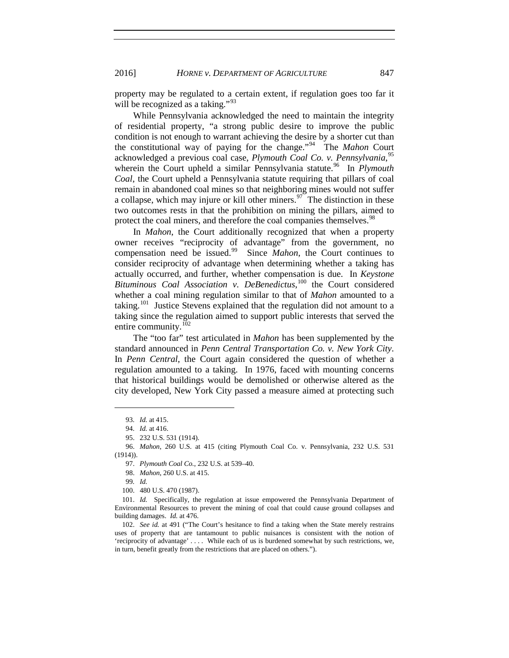property may be regulated to a certain extent, if regulation goes too far it will be recognized as a taking."<sup>[93](#page-10-0)</sup>

While Pennsylvania acknowledged the need to maintain the integrity of residential property, "a strong public desire to improve the public condition is not enough to warrant achieving the desire by a shorter cut than the constitutional way of paying for the change."[94](#page-10-1) The *Mahon* Court acknowledged a previous coal case, *Plymouth Coal Co. v. Pennsylvania*, [95](#page-10-2) wherein the Court upheld a similar Pennsylvania statute.<sup>[96](#page-10-3)</sup> In *Plymouth Coal*, the Court upheld a Pennsylvania statute requiring that pillars of coal remain in abandoned coal mines so that neighboring mines would not suffer a collapse, which may injure or kill other miners.<sup>[97](#page-10-4)</sup> The distinction in these two outcomes rests in that the prohibition on mining the pillars, aimed to protect the coal miners, and therefore the coal companies themselves.<sup>[98](#page-10-5)</sup>

In *Mahon*, the Court additionally recognized that when a property owner receives "reciprocity of advantage" from the government, no compensation need be issued.[99](#page-10-6) Since *Mahon*, the Court continues to consider reciprocity of advantage when determining whether a taking has actually occurred, and further, whether compensation is due. In *Keystone* Bituminous Coal Association v. DeBenedictus,<sup>[100](#page-10-7)</sup> the Court considered whether a coal mining regulation similar to that of *Mahon* amounted to a taking.<sup>[101](#page-10-8)</sup> Justice Stevens explained that the regulation did not amount to a taking since the regulation aimed to support public interests that served the entire community.<sup>[102](#page-10-9)</sup>

The "too far" test articulated in *Mahon* has been supplemented by the standard announced in *Penn Central Transportation Co. v. New York City*. In *Penn Central*, the Court again considered the question of whether a regulation amounted to a taking. In 1976, faced with mounting concerns that historical buildings would be demolished or otherwise altered as the city developed, New York City passed a measure aimed at protecting such

<sup>93.</sup> *Id.* at 415.

<sup>94.</sup> *Id.* at 416.

<sup>95.</sup> 232 U.S. 531 (1914).

<span id="page-10-5"></span><span id="page-10-4"></span><span id="page-10-3"></span><span id="page-10-2"></span><span id="page-10-1"></span><span id="page-10-0"></span><sup>96.</sup> *Mahon*, 260 U.S. at 415 (citing Plymouth Coal Co. v. Pennsylvania, 232 U.S. 531  $(1914)$ .

<sup>97.</sup> *Plymouth Coal Co.*, 232 U.S. at 539–40.

<sup>98.</sup> *Mahon*, 260 U.S. at 415.

<sup>99</sup>*. Id.*

<sup>100.</sup> 480 U.S. 470 (1987).

<span id="page-10-8"></span><span id="page-10-7"></span><span id="page-10-6"></span><sup>101.</sup> *Id.* Specifically, the regulation at issue empowered the Pennsylvania Department of Environmental Resources to prevent the mining of coal that could cause ground collapses and building damages. *Id.* at 476.

<span id="page-10-9"></span><sup>102.</sup> *See id.* at 491 ("The Court's hesitance to find a taking when the State merely restrains uses of property that are tantamount to public nuisances is consistent with the notion of 'reciprocity of advantage' . . . . While each of us is burdened somewhat by such restrictions, we, in turn, benefit greatly from the restrictions that are placed on others.").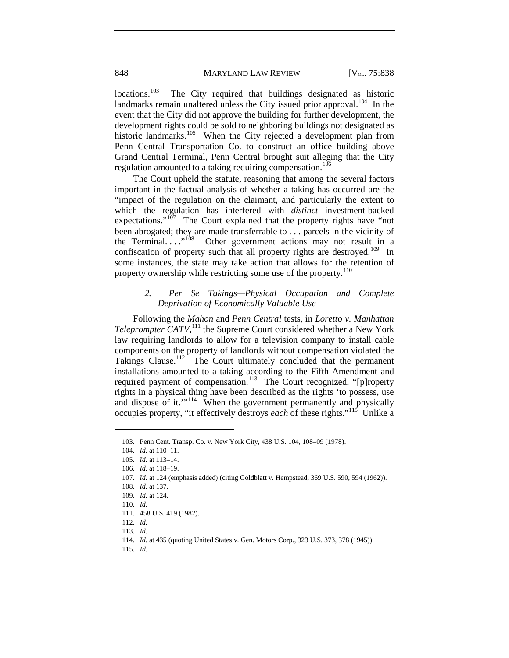$\text{locations.}^{103}$  $\text{locations.}^{103}$  $\text{locations.}^{103}$  The City required that buildings designated as historic landmarks remain unaltered unless the City issued prior approval.<sup>104</sup> In the event that the City did not approve the building for further development, the development rights could be sold to neighboring buildings not designated as historic landmarks.<sup>[105](#page-11-2)</sup> When the City rejected a development plan from Penn Central Transportation Co. to construct an office building above Grand Central Terminal, Penn Central brought suit alleging that the City regulation amounted to a taking requiring compensation.<sup>[106](#page-11-3)</sup>

The Court upheld the statute, reasoning that among the several factors important in the factual analysis of whether a taking has occurred are the "impact of the regulation on the claimant, and particularly the extent to which the regulation has interfered with *distinct* investment-backed expectations." $107$  The Court explained that the property rights have "not" been abrogated; they are made transferrable to . . . parcels in the vicinity of Other government actions may not result in a confiscation of property such that all property rights are destroyed.<sup>[109](#page-11-6)</sup> In some instances, the state may take action that allows for the retention of property ownership while restricting some use of the property.<sup>[110](#page-11-7)</sup>

### *2. Per Se Takings—Physical Occupation and Complete Deprivation of Economically Valuable Use*

Following the *Mahon* and *Penn Central* tests, in *Loretto v. Manhattan*  Teleprompter CATV,<sup>[111](#page-11-8)</sup> the Supreme Court considered whether a New York law requiring landlords to allow for a television company to install cable components on the property of landlords without compensation violated the Takings Clause.<sup>[112](#page-11-9)</sup> The Court ultimately concluded that the permanent installations amounted to a taking according to the Fifth Amendment and required payment of compensation.<sup>113</sup> The Court recognized, "[p]roperty rights in a physical thing have been described as the rights 'to possess, use and dispose of it."<sup>114</sup> When the government permanently and physically occupies property, "it effectively destroys *each* of these rights."[115](#page-11-12) Unlike a

<span id="page-11-3"></span><span id="page-11-2"></span><span id="page-11-1"></span><span id="page-11-0"></span> $\overline{a}$ 

<span id="page-11-12"></span>115. *Id.* 

<sup>103.</sup> Penn Cent. Transp. Co. v. New York City, 438 U.S. 104, 108–09 (1978).

<sup>104.</sup> *Id.* at 110–11.

<sup>105.</sup> *Id*. at 113–14.

<sup>106.</sup> *Id.* at 118–19.

<sup>107.</sup> *Id.* at 124 (emphasis added) (citing Goldblatt v. Hempstead, 369 U.S. 590, 594 (1962)).

<span id="page-11-4"></span><sup>108.</sup> *Id.* at 137.

<span id="page-11-7"></span><span id="page-11-6"></span><span id="page-11-5"></span><sup>109.</sup> *Id.* at 124.

<sup>110.</sup> *Id.*

<sup>111.</sup> 458 U.S. 419 (1982).

<span id="page-11-10"></span><span id="page-11-9"></span><span id="page-11-8"></span><sup>112.</sup> *Id.*

<span id="page-11-11"></span><sup>113.</sup> *Id*.

<sup>114.</sup> *Id*. at 435 (quoting United States v. Gen. Motors Corp., 323 U.S. 373, 378 (1945)).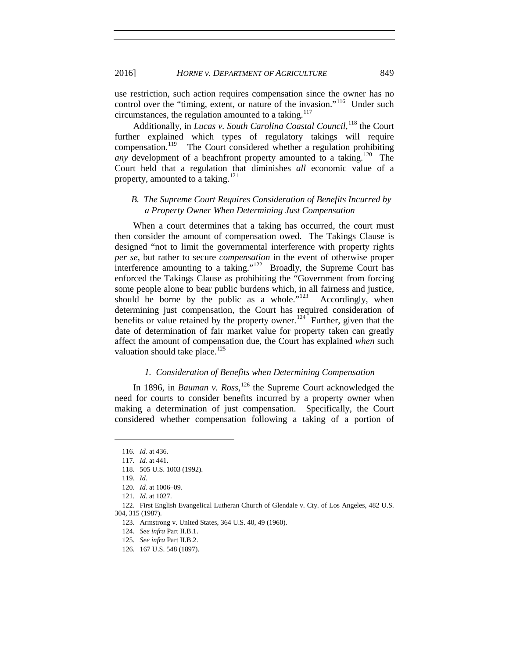use restriction, such action requires compensation since the owner has no control over the "timing, extent, or nature of the invasion."<sup>116</sup> Under such circumstances, the regulation amounted to a taking.<sup>[117](#page-12-1)</sup>

Additionally, in *Lucas v. South Carolina Coastal Council*,<sup>[118](#page-12-2)</sup> the Court further explained which types of regulatory takings will require compensation.<sup>119</sup> The Court considered whether a regulation prohibiting *any* development of a beachfront property amounted to a taking.<sup>120</sup> The Court held that a regulation that diminishes *all* economic value of a property, amounted to a taking.<sup>[121](#page-12-5)</sup>

# *B. The Supreme Court Requires Consideration of Benefits Incurred by a Property Owner When Determining Just Compensation*

When a court determines that a taking has occurred, the court must then consider the amount of compensation owed. The Takings Clause is designed "not to limit the governmental interference with property rights *per se*, but rather to secure *compensation* in the event of otherwise proper interference amounting to a taking." $122$  Broadly, the Supreme Court has enforced the Takings Clause as prohibiting the "Government from forcing some people alone to bear public burdens which, in all fairness and justice, should be borne by the public as a whole." $123$  Accordingly, when determining just compensation, the Court has required consideration of benefits or value retained by the property owner.<sup>124</sup> Further, given that the date of determination of fair market value for property taken can greatly affect the amount of compensation due, the Court has explained *when* such valuation should take place.<sup>[125](#page-12-9)</sup>

#### *1. Consideration of Benefits when Determining Compensation*

In 1896, in *Bauman v. Ross*,<sup>[126](#page-12-10)</sup> the Supreme Court acknowledged the need for courts to consider benefits incurred by a property owner when making a determination of just compensation. Specifically, the Court considered whether compensation following a taking of a portion of

<sup>116.</sup> *Id.* at 436.

<span id="page-12-1"></span><span id="page-12-0"></span><sup>117.</sup> *Id.* at 441.

<sup>118.</sup> 505 U.S. 1003 (1992).

<sup>119.</sup> *Id.*

<sup>120.</sup> *Id.* at 1006–09.

<sup>121.</sup> *Id.* at 1027.

<span id="page-12-10"></span><span id="page-12-9"></span><span id="page-12-8"></span><span id="page-12-7"></span><span id="page-12-6"></span><span id="page-12-5"></span><span id="page-12-4"></span><span id="page-12-3"></span><span id="page-12-2"></span><sup>122.</sup> First English Evangelical Lutheran Church of Glendale v. Cty. of Los Angeles, 482 U.S. 304, 315 (1987).

<sup>123.</sup> Armstrong v. United States, 364 U.S. 40, 49 (1960).

<sup>124.</sup> *See infra* Part II.B.1.

<sup>125.</sup> *See infra* Part II.B.2.

<sup>126.</sup> 167 U.S. 548 (1897).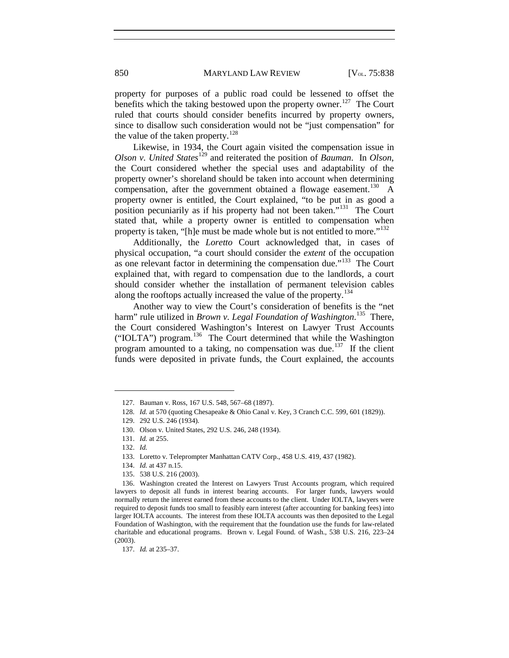property for purposes of a public road could be lessened to offset the benefits which the taking bestowed upon the property owner.<sup>[127](#page-13-0)</sup> The Court ruled that courts should consider benefits incurred by property owners, since to disallow such consideration would not be "just compensation" for the value of the taken property.<sup>[128](#page-13-1)</sup>

Likewise, in 1934, the Court again visited the compensation issue in *Olson v. United States*[129](#page-13-2) and reiterated the position of *Bauman*. In *Olson*, the Court considered whether the special uses and adaptability of the property owner's shoreland should be taken into account when determining compensation, after the government obtained a flowage easement.<sup>[130](#page-13-3)</sup> A property owner is entitled, the Court explained, "to be put in as good a position pecuniarily as if his property had not been taken."<sup>[131](#page-13-4)</sup> The Court stated that, while a property owner is entitled to compensation when property is taken, "[h]e must be made whole but is not entitled to more."<sup>[132](#page-13-5)</sup>

Additionally, the *Loretto* Court acknowledged that, in cases of physical occupation, "a court should consider the *extent* of the occupation as one relevant factor in determining the compensation due."[133](#page-13-6) The Court explained that, with regard to compensation due to the landlords, a court should consider whether the installation of permanent television cables along the rooftops actually increased the value of the property.<sup>[134](#page-13-7)</sup>

<span id="page-13-11"></span>Another way to view the Court's consideration of benefits is the "net harm" rule utilized in *Brown v. Legal Foundation of Washington*. [135](#page-13-8) There, the Court considered Washington's Interest on Lawyer Trust Accounts ("IOLTA") program.[136](#page-13-9) The Court determined that while the Washington program amounted to a taking, no compensation was due.<sup>137</sup> If the client funds were deposited in private funds, the Court explained, the accounts

<span id="page-13-0"></span><sup>127.</sup> Bauman v. Ross, 167 U.S. 548, 567–68 (1897).

<sup>128.</sup> *Id.* at 570 (quoting Chesapeake & Ohio Canal v. Key, 3 Cranch C.C. 599, 601 (1829)).

<span id="page-13-1"></span><sup>129.</sup> 292 U.S. 246 (1934).

<sup>130.</sup> Olson v. United States, 292 U.S. 246, 248 (1934).

<span id="page-13-4"></span><span id="page-13-3"></span><span id="page-13-2"></span><sup>131.</sup> *Id.* at 255.

<sup>132.</sup> *Id.*

<sup>133.</sup> Loretto v. Teleprompter Manhattan CATV Corp., 458 U.S. 419, 437 (1982).

<sup>134.</sup> *Id.* at 437 n.15.

<sup>135.</sup> 538 U.S. 216 (2003).

<span id="page-13-9"></span><span id="page-13-8"></span><span id="page-13-7"></span><span id="page-13-6"></span><span id="page-13-5"></span><sup>136.</sup> Washington created the Interest on Lawyers Trust Accounts program, which required lawyers to deposit all funds in interest bearing accounts. For larger funds, lawyers would normally return the interest earned from these accounts to the client. Under IOLTA, lawyers were required to deposit funds too small to feasibly earn interest (after accounting for banking fees) into larger IOLTA accounts. The interest from these IOLTA accounts was then deposited to the Legal Foundation of Washington, with the requirement that the foundation use the funds for law-related charitable and educational programs. Brown v. Legal Found. of Wash., 538 U.S. 216, 223–24 (2003).

<span id="page-13-10"></span><sup>137.</sup> *Id.* at 235–37.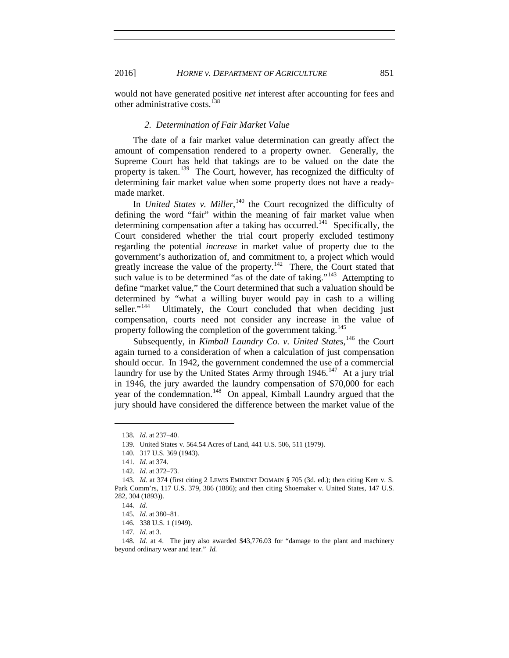2016] *HORNE v. DEPARTMENT OF AGRICULTURE* 851

would not have generated positive *net* interest after accounting for fees and other administrative costs.<sup>[138](#page-14-0)</sup>

#### *2. Determination of Fair Market Value*

The date of a fair market value determination can greatly affect the amount of compensation rendered to a property owner. Generally, the Supreme Court has held that takings are to be valued on the date the property is taken.<sup>139</sup> The Court, however, has recognized the difficulty of determining fair market value when some property does not have a readymade market.

In *United States v. Miller*,<sup>[140](#page-14-2)</sup> the Court recognized the difficulty of defining the word "fair" within the meaning of fair market value when determining compensation after a taking has occurred.<sup>141</sup> Specifically, the Court considered whether the trial court properly excluded testimony regarding the potential *increase* in market value of property due to the government's authorization of, and commitment to, a project which would greatly increase the value of the property.<sup>[142](#page-14-4)</sup> There, the Court stated that such value is to be determined "as of the date of taking."<sup>[143](#page-14-5)</sup> Attempting to define "market value," the Court determined that such a valuation should be determined by "what a willing buyer would pay in cash to a willing seller."<sup>144</sup> Ultimately, the Court concluded that when deciding just Ultimately, the Court concluded that when deciding just compensation, courts need not consider any increase in the value of property following the completion of the government taking.<sup>[145](#page-14-7)</sup>

Subsequently, in *Kimball Laundry Co. v. United States*, <sup>[146](#page-14-8)</sup> the Court again turned to a consideration of when a calculation of just compensation should occur. In 1942, the government condemned the use of a commercial laundry for use by the United States Army through 1946.<sup>147</sup> At a jury trial in 1946, the jury awarded the laundry compensation of \$70,000 for each year of the condemnation.<sup>148</sup> On appeal, Kimball Laundry argued that the jury should have considered the difference between the market value of the

<span id="page-14-1"></span><span id="page-14-0"></span> $\overline{a}$ 

146. 338 U.S. 1 (1949).

<sup>138.</sup> *Id.* at 237–40.

<sup>139.</sup> United States v. 564.54 Acres of Land, 441 U.S. 506, 511 (1979).

<sup>140.</sup> 317 U.S. 369 (1943).

<sup>141.</sup> *Id.* at 374.

<sup>142.</sup> *Id.* at 372–73.

<span id="page-14-6"></span><span id="page-14-5"></span><span id="page-14-4"></span><span id="page-14-3"></span><span id="page-14-2"></span><sup>143.</sup> *Id.* at 374 (first citing 2 LEWIS EMINENT DOMAIN § 705 (3d. ed.); then citing Kerr v. S. Park Comm'rs, 117 U.S. 379, 386 (1886); and then citing Shoemaker v. United States, 147 U.S. 282, 304 (1893)).

<sup>144.</sup> *Id.* 

<sup>145.</sup> *Id.* at 380–81.

<sup>147.</sup> *Id.* at 3.

<span id="page-14-10"></span><span id="page-14-9"></span><span id="page-14-8"></span><span id="page-14-7"></span><sup>148.</sup> *Id.* at 4. The jury also awarded \$43,776.03 for "damage to the plant and machinery beyond ordinary wear and tear." *Id.*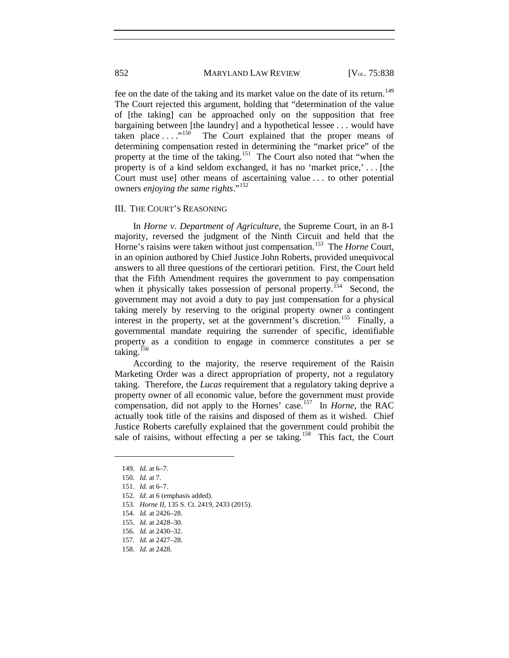fee on the date of the taking and its market value on the date of its return.<sup>[149](#page-15-0)</sup> The Court rejected this argument, holding that "determination of the value of [the taking] can be approached only on the supposition that free bargaining between [the laundry] and a hypothetical lessee  $\dots$  would have taken place  $\dots$ ."<sup>150</sup> The Court explained that the proper means of The Court explained that the proper means of determining compensation rested in determining the "market price" of the property at the time of the taking.<sup>151</sup> The Court also noted that "when the property is of a kind seldom exchanged, it has no 'market price,' . . . [the Court must use] other means of ascertaining value . . . to other potential owners *enjoying the same rights*."[152](#page-15-3)

#### III. THE COURT'S REASONING

In *Horne v. Department of Agriculture*, the Supreme Court, in an 8-1 majority, reversed the judgment of the Ninth Circuit and held that the Horne's raisins were taken without just compensation.<sup>[153](#page-15-4)</sup> The *Horne* Court, in an opinion authored by Chief Justice John Roberts, provided unequivocal answers to all three questions of the certiorari petition. First, the Court held that the Fifth Amendment requires the government to pay compensation when it physically takes possession of personal property.<sup>154</sup> Second, the government may not avoid a duty to pay just compensation for a physical taking merely by reserving to the original property owner a contingent interest in the property, set at the government's discretion.<sup>[155](#page-15-6)</sup> Finally, a governmental mandate requiring the surrender of specific, identifiable property as a condition to engage in commerce constitutes a per se taking.<sup>[156](#page-15-7)</sup>

According to the majority, the reserve requirement of the Raisin Marketing Order was a direct appropriation of property, not a regulatory taking. Therefore, the *Lucas* requirement that a regulatory taking deprive a property owner of all economic value, before the government must provide compensation, did not apply to the Hornes' case.<sup>157</sup> In *Horne*, the RAC actually took title of the raisins and disposed of them as it wished. Chief Justice Roberts carefully explained that the government could prohibit the sale of raisins, without effecting a per se taking.<sup>[158](#page-15-9)</sup> This fact, the Court

<span id="page-15-0"></span><sup>149.</sup> *Id.* at 6–7.

<sup>150.</sup> *Id.* at 7.

<span id="page-15-3"></span><span id="page-15-2"></span><span id="page-15-1"></span><sup>151.</sup> *Id.* at 6–7.

<sup>152.</sup> *Id.* at 6 (emphasis added).

<span id="page-15-5"></span><span id="page-15-4"></span><sup>153.</sup> *Horne II*, 135 S. Ct. 2419, 2433 (2015).

<sup>154.</sup> *Id.* at 2426–28.

<span id="page-15-6"></span><sup>155.</sup> *Id.* at 2428–30.

<span id="page-15-7"></span><sup>156.</sup> *Id.* at 2430–32.

<span id="page-15-8"></span><sup>157.</sup> *Id.* at 2427–28.

<span id="page-15-9"></span><sup>158.</sup> *Id.* at 2428.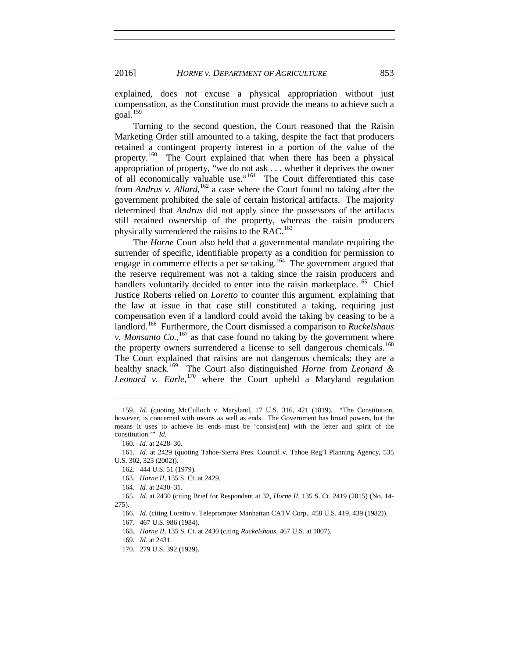explained, does not excuse a physical appropriation without just compensation, as the Constitution must provide the means to achieve such a goal.[159](#page-16-0)

Turning to the second question, the Court reasoned that the Raisin Marketing Order still amounted to a taking, despite the fact that producers retained a contingent property interest in a portion of the value of the property.<sup>[160](#page-16-1)</sup> The Court explained that when there has been a physical appropriation of property, "we do not ask . . . whether it deprives the owner of all economically valuable use."[161](#page-16-2) The Court differentiated this case from *Andrus v. Allard*, <sup>[162](#page-16-3)</sup> a case where the Court found no taking after the government prohibited the sale of certain historical artifacts. The majority determined that *Andrus* did not apply since the possessors of the artifacts still retained ownership of the property, whereas the raisin producers physically surrendered the raisins to the RAC.<sup>[163](#page-16-4)</sup>

The *Horne* Court also held that a governmental mandate requiring the surrender of specific, identifiable property as a condition for permission to engage in commerce effects a per se taking.<sup>164</sup> The government argued that the reserve requirement was not a taking since the raisin producers and handlers voluntarily decided to enter into the raisin marketplace.<sup>165</sup> Chief Justice Roberts relied on *Loretto* to counter this argument, explaining that the law at issue in that case still constituted a taking, requiring just compensation even if a landlord could avoid the taking by ceasing to be a landlord.[166](#page-16-7) Furthermore, the Court dismissed a comparison to *Ruckelshaus v. Monsanto Co.*,  $^{167}$  $^{167}$  $^{167}$  as that case found no taking by the government where the property owners surrendered a license to sell dangerous chemicals.<sup>[168](#page-16-9)</sup> The Court explained that raisins are not dangerous chemicals; they are a healthy snack.[169](#page-16-10) The Court also distinguished *Horne* from *Leonard &*  Leonard v. Earle,<sup>[170](#page-16-11)</sup> where the Court upheld a Maryland regulation

<span id="page-16-0"></span><sup>159.</sup> *Id.* (quoting McCulloch v. Maryland, 17 U.S. 316, 421 (1819). "The Constitution, however, is concerned with means as well as ends. The Government has broad powers, but the means it uses to achieve its ends must be 'consist[ent] with the letter and spirit of the constitution.'" *Id.*

<sup>160.</sup> *Id.* at 2428–30.

<span id="page-16-3"></span><span id="page-16-2"></span><span id="page-16-1"></span><sup>161.</sup> *Id.* at 2429 (quoting Tahoe-Sierra Pres. Council v. Tahoe Reg'l Planning Agency, 535 U.S. 302, 323 (2002)).

<sup>162.</sup> 444 U.S. 51 (1979).

<sup>163.</sup> *Horne II*, 135 S. Ct. at 2429.

<sup>164.</sup> *Id.* at 2430–31.

<span id="page-16-9"></span><span id="page-16-8"></span><span id="page-16-7"></span><span id="page-16-6"></span><span id="page-16-5"></span><span id="page-16-4"></span><sup>165.</sup> *Id.* at 2430 (citing Brief for Respondent at 32, *Horne II*, 135 S. Ct. 2419 (2015) (No. 14- 275).

<sup>166.</sup> *Id.* (citing Loretto v. Teleprompter Manhattan CATV Corp., 458 U.S. 419, 439 (1982)).

<sup>167.</sup> 467 U.S. 986 (1984).

<sup>168.</sup> *Horne II*, 135 S. Ct. at 2430 (citing *Ruckelshaus*, 467 U.S. at 1007).

<sup>169.</sup> *Id.* at 2431.

<span id="page-16-11"></span><span id="page-16-10"></span><sup>170.</sup> 279 U.S. 392 (1929).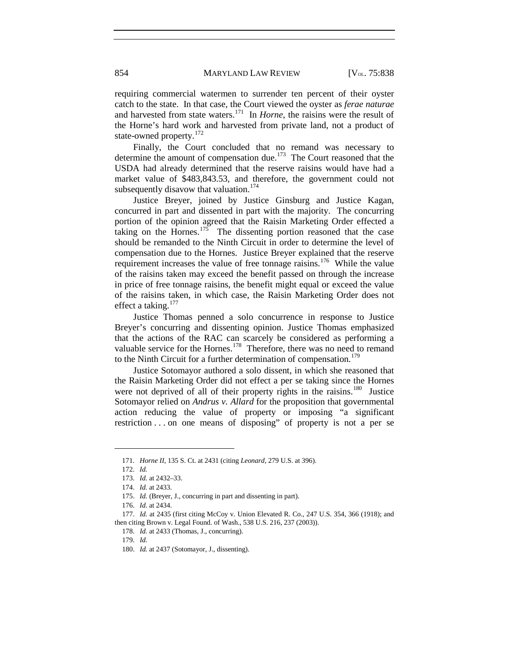requiring commercial watermen to surrender ten percent of their oyster catch to the state. In that case, the Court viewed the oyster as *ferae naturae* and harvested from state waters.[171](#page-17-0) In *Horne*, the raisins were the result of the Horne's hard work and harvested from private land, not a product of state-owned property.<sup>[172](#page-17-1)</sup>

Finally, the Court concluded that no remand was necessary to determine the amount of compensation due.<sup>173</sup> The Court reasoned that the USDA had already determined that the reserve raisins would have had a market value of \$483,843.53, and therefore, the government could not subsequently disavow that valuation.<sup>[174](#page-17-3)</sup>

Justice Breyer, joined by Justice Ginsburg and Justice Kagan, concurred in part and dissented in part with the majority. The concurring portion of the opinion agreed that the Raisin Marketing Order effected a taking on the Hornes.<sup>[175](#page-17-4)</sup> The dissenting portion reasoned that the case should be remanded to the Ninth Circuit in order to determine the level of compensation due to the Hornes. Justice Breyer explained that the reserve requirement increases the value of free tonnage raisins.<sup>[176](#page-17-5)</sup> While the value of the raisins taken may exceed the benefit passed on through the increase in price of free tonnage raisins, the benefit might equal or exceed the value of the raisins taken, in which case, the Raisin Marketing Order does not effect a taking. $177$ 

Justice Thomas penned a solo concurrence in response to Justice Breyer's concurring and dissenting opinion. Justice Thomas emphasized that the actions of the RAC can scarcely be considered as performing a valuable service for the Hornes.<sup>178</sup> Therefore, there was no need to remand to the Ninth Circuit for a further determination of compensation.<sup>[179](#page-17-8)</sup>

Justice Sotomayor authored a solo dissent, in which she reasoned that the Raisin Marketing Order did not effect a per se taking since the Hornes were not deprived of all of their property rights in the raisins.<sup>[180](#page-17-9)</sup> Justice Sotomayor relied on *Andrus v. Allard* for the proposition that governmental action reducing the value of property or imposing "a significant restriction . . . on one means of disposing" of property is not a per se

<span id="page-17-1"></span><span id="page-17-0"></span><sup>171.</sup> *Horne II*, 135 S. Ct. at 2431 (citing *Leonard*, 279 U.S. at 396).

<sup>172.</sup> *Id.*

<sup>173.</sup> *Id.* at 2432–33.

<sup>174.</sup> *Id.* at 2433.

<sup>175.</sup> *Id.* (Breyer, J., concurring in part and dissenting in part).

<sup>176.</sup> *Id.* at 2434.

<span id="page-17-9"></span><span id="page-17-8"></span><span id="page-17-7"></span><span id="page-17-6"></span><span id="page-17-5"></span><span id="page-17-4"></span><span id="page-17-3"></span><span id="page-17-2"></span><sup>177.</sup> *Id.* at 2435 (first citing McCoy v. Union Elevated R. Co., 247 U.S. 354, 366 (1918); and then citing Brown v. Legal Found. of Wash., 538 U.S. 216, 237 (2003)).

<sup>178.</sup> *Id.* at 2433 (Thomas, J., concurring).

<sup>179.</sup> *Id.* 

<sup>180.</sup> *Id.* at 2437 (Sotomayor, J., dissenting).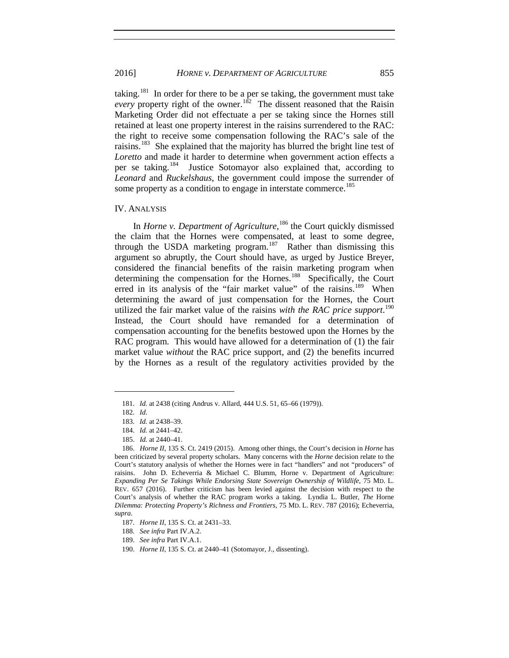taking.<sup>[181](#page-18-0)</sup> In order for there to be a per se taking, the government must take *every* property right of the owner.<sup>182</sup> The dissent reasoned that the Raisin Marketing Order did not effectuate a per se taking since the Hornes still retained at least one property interest in the raisins surrendered to the RAC: the right to receive some compensation following the RAC's sale of the raisins.[183](#page-18-2) She explained that the majority has blurred the bright line test of *Loretto* and made it harder to determine when government action effects a per se taking.<sup>184</sup> Justice Sotomayor also explained that, according to *Leonard* and *Ruckelshaus*, the government could impose the surrender of some property as a condition to engage in interstate commerce.<sup>[185](#page-18-4)</sup>

#### IV. ANALYSIS

In *Horne v. Department of Agriculture*,<sup>[186](#page-18-5)</sup> the Court quickly dismissed the claim that the Hornes were compensated, at least to some degree, through the USDA marketing program.<sup>[187](#page-18-6)</sup> Rather than dismissing this argument so abruptly, the Court should have, as urged by Justice Breyer, considered the financial benefits of the raisin marketing program when determining the compensation for the Hornes.<sup>[188](#page-18-7)</sup> Specifically, the Court erred in its analysis of the "fair market value" of the raisins.<sup>189</sup> When determining the award of just compensation for the Hornes, the Court utilized the fair market value of the raisins *with the RAC price support*. [190](#page-18-9) Instead, the Court should have remanded for a determination of compensation accounting for the benefits bestowed upon the Hornes by the RAC program. This would have allowed for a determination of (1) the fair market value *without* the RAC price support, and (2) the benefits incurred by the Hornes as a result of the regulatory activities provided by the

<span id="page-18-0"></span><sup>181.</sup> *Id.* at 2438 (citing Andrus v. Allard, 444 U.S. 51, 65–66 (1979)).

<sup>182.</sup> *Id*.

<sup>183.</sup> *Id.* at 2438–39.

<sup>184.</sup> *Id.* at 2441–42.

<sup>185.</sup> *Id.* at 2440–41.

<span id="page-18-5"></span><span id="page-18-4"></span><span id="page-18-3"></span><span id="page-18-2"></span><span id="page-18-1"></span><sup>186.</sup> *Horne II*, 135 S. Ct. 2419 (2015). Among other things, the Court's decision in *Horne* has been criticized by several property scholars. Many concerns with the *Horne* decision relate to the Court's statutory analysis of whether the Hornes were in fact "handlers" and not "producers" of raisins. John D. Echeverria & Michael C. Blumm, Horne v. Department of Agriculture: *Expanding Per Se Takings While Endorsing State Sovereign Ownership of Wildlife*, 75 MD. L. REV. 657 (2016). Further criticism has been levied against the decision with respect to the Court's analysis of whether the RAC program works a taking. Lyndia L. Butler*, The* Horne *Dilemma: Protecting Property's Richness and Frontiers*, 75 MD. L. REV. 787 (2016); Echeverria, *supra*.

<span id="page-18-7"></span><span id="page-18-6"></span><sup>187.</sup> *Horne II*, 135 S. Ct. at 2431–33.

<sup>188.</sup> *See infra* Part IV.A.2.

<sup>189.</sup> *See infra* Part IV.A.1.

<span id="page-18-9"></span><span id="page-18-8"></span><sup>190.</sup> *Horne II*, 135 S. Ct. at 2440–41 (Sotomayor, J., dissenting).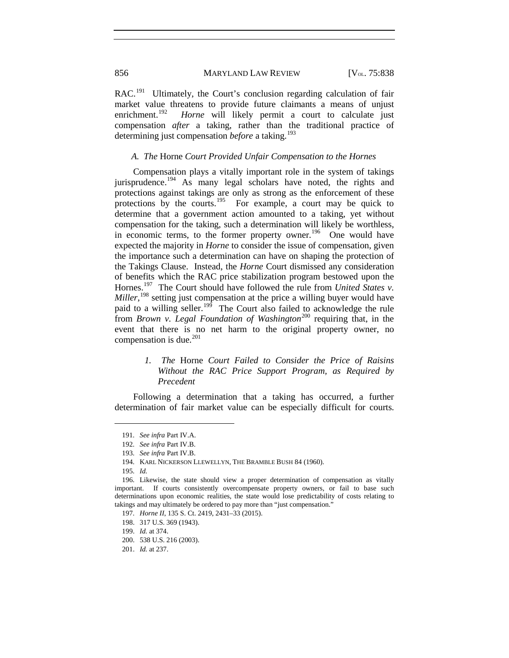RAC.<sup>[191](#page-19-0)</sup> Ultimately, the Court's conclusion regarding calculation of fair market value threatens to provide future claimants a means of unjust enrichment.<sup>192</sup> *Horne* will likely permit a court to calculate just Horne will likely permit a court to calculate just compensation *after* a taking, rather than the traditional practice of determining just compensation *before* a taking.<sup>[193](#page-19-2)</sup>

# *A. The* Horne *Court Provided Unfair Compensation to the Hornes*

Compensation plays a vitally important role in the system of takings jurisprudence.<sup>[194](#page-19-3)</sup> As many legal scholars have noted, the rights and protections against takings are only as strong as the enforcement of these protections by the courts.<sup>[195](#page-19-4)</sup> For example, a court may be quick to determine that a government action amounted to a taking, yet without compensation for the taking, such a determination will likely be worthless, in economic terms, to the former property owner.<sup>[196](#page-19-5)</sup> One would have expected the majority in *Horne* to consider the issue of compensation, given the importance such a determination can have on shaping the protection of the Takings Clause. Instead, the *Horne* Court dismissed any consideration of benefits which the RAC price stabilization program bestowed upon the Hornes.<sup>[197](#page-19-6)</sup> The Court should have followed the rule from *United States v. Miller*, [198](#page-19-7) setting just compensation at the price a willing buyer would have paid to a willing seller.<sup>[199](#page-19-8)</sup> The Court also failed to acknowledge the rule from *Brown v. Legal Foundation of Washington*[200](#page-19-9) requiring that, in the event that there is no net harm to the original property owner, no compensation is due. $^{201}$  $^{201}$  $^{201}$ 

> *1. The* Horne *Court Failed to Consider the Price of Raisins Without the RAC Price Support Program, as Required by Precedent*

<span id="page-19-0"></span>Following a determination that a taking has occurred, a further determination of fair market value can be especially difficult for courts.

<sup>191.</sup> *See infra* Part IV.A.

<sup>192.</sup> *See infra* Part IV.B.

<sup>193.</sup> *See infra* Part IV.B.

<sup>194.</sup> KARL NICKERSON LLEWELLYN, THE BRAMBLE BUSH 84 (1960).

<sup>195.</sup> *Id.* 

<span id="page-19-7"></span><span id="page-19-6"></span><span id="page-19-5"></span><span id="page-19-4"></span><span id="page-19-3"></span><span id="page-19-2"></span><span id="page-19-1"></span><sup>196.</sup> Likewise, the state should view a proper determination of compensation as vitally important. If courts consistently overcompensate property owners, or fail to base such determinations upon economic realities, the state would lose predictability of costs relating to takings and may ultimately be ordered to pay more than "just compensation."

<sup>197.</sup> *Horne II*, 135 S. Ct. 2419, 2431–33 (2015).

<sup>198.</sup> 317 U.S. 369 (1943).

<sup>199.</sup> *Id.* at 374.

<span id="page-19-9"></span><span id="page-19-8"></span><sup>200.</sup> 538 U.S. 216 (2003).

<span id="page-19-10"></span><sup>201.</sup> *Id.* at 237.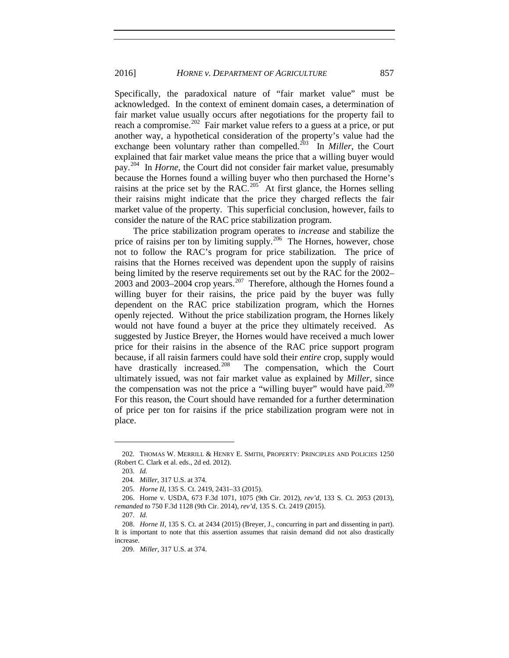Specifically, the paradoxical nature of "fair market value" must be acknowledged. In the context of eminent domain cases, a determination of fair market value usually occurs after negotiations for the property fail to reach a compromise.<sup>202</sup> Fair market value refers to a guess at a price, or put another way, a hypothetical consideration of the property's value had the exchange been voluntary rather than compelled.<sup> $203$ </sup> In *Miller*, the Court explained that fair market value means the price that a willing buyer would pay.[204](#page-20-2) In *Horne*, the Court did not consider fair market value, presumably because the Hornes found a willing buyer who then purchased the Horne's raisins at the price set by the RAC.<sup>[205](#page-20-3)</sup> At first glance, the Hornes selling their raisins might indicate that the price they charged reflects the fair market value of the property. This superficial conclusion, however, fails to consider the nature of the RAC price stabilization program.

The price stabilization program operates to *increase* and stabilize the price of raisins per ton by limiting supply.<sup>[206](#page-20-4)</sup> The Hornes, however, chose not to follow the RAC's program for price stabilization. The price of raisins that the Hornes received was dependent upon the supply of raisins being limited by the reserve requirements set out by the RAC for the 2002– 2003 and 2003–2004 crop years.<sup>[207](#page-20-5)</sup> Therefore, although the Hornes found a willing buyer for their raisins, the price paid by the buyer was fully dependent on the RAC price stabilization program, which the Hornes openly rejected. Without the price stabilization program, the Hornes likely would not have found a buyer at the price they ultimately received. As suggested by Justice Breyer, the Hornes would have received a much lower price for their raisins in the absence of the RAC price support program because, if all raisin farmers could have sold their *entire* crop, supply would have drastically increased.<sup>208</sup> The compensation, which the Court ultimately issued, was not fair market value as explained by *Miller*, since the compensation was not the price a "willing buyer" would have paid.<sup>[209](#page-20-7)</sup> For this reason, the Court should have remanded for a further determination of price per ton for raisins if the price stabilization program were not in place.

<span id="page-20-1"></span><span id="page-20-0"></span><sup>202.</sup> THOMAS W. MERRILL & HENRY E. SMITH, PROPERTY: PRINCIPLES AND POLICIES 1250 (Robert C. Clark et al. eds., 2d ed. 2012).

<sup>203.</sup> *Id.*

<sup>204.</sup> *Miller*, 317 U.S. at 374.

<sup>205.</sup> *Horne II*, 135 S. Ct. 2419, 2431–33 (2015).

<span id="page-20-4"></span><span id="page-20-3"></span><span id="page-20-2"></span><sup>206.</sup> Horne v. USDA, 673 F.3d 1071, 1075 (9th Cir. 2012), *rev'd*, 133 S. Ct. 2053 (2013), *remanded to* 750 F.3d 1128 (9th Cir. 2014), *rev'd*, 135 S. Ct. 2419 (2015).

<sup>207.</sup> *Id.*

<span id="page-20-7"></span><span id="page-20-6"></span><span id="page-20-5"></span><sup>208.</sup> *Horne II*, 135 S. Ct. at 2434 (2015) (Breyer, J., concurring in part and dissenting in part). It is important to note that this assertion assumes that raisin demand did not also drastically increase.

<sup>209.</sup> *Miller*, 317 U.S. at 374.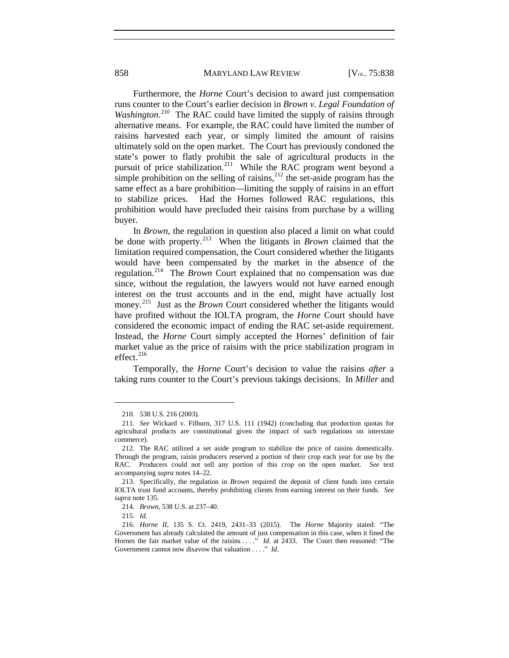858 MARYLAND LAW REVIEW [V<sub>OL.</sub> 75:838]

Furthermore, the *Horne* Court's decision to award just compensation runs counter to the Court's earlier decision in *Brown v. Legal Foundation of*  Washington.<sup>[210](#page-21-0)</sup> The RAC could have limited the supply of raisins through alternative means. For example, the RAC could have limited the number of raisins harvested each year, or simply limited the amount of raisins ultimately sold on the open market. The Court has previously condoned the state's power to flatly prohibit the sale of agricultural products in the pursuit of price stabilization.<sup>[211](#page-21-1)</sup> While the RAC program went beyond a simple prohibition on the selling of raisins, $^{212}$  $^{212}$  $^{212}$  the set-aside program has the same effect as a bare prohibition—limiting the supply of raisins in an effort to stabilize prices. Had the Hornes followed RAC regulations, this prohibition would have precluded their raisins from purchase by a willing buyer.

In *Brown*, the regulation in question also placed a limit on what could be done with property.[213](#page-21-3) When the litigants in *Brown* claimed that the limitation required compensation, the Court considered whether the litigants would have been compensated by the market in the absence of the regulation.[214](#page-21-4) The *Brown* Court explained that no compensation was due since, without the regulation, the lawyers would not have earned enough interest on the trust accounts and in the end, might have actually lost money.<sup>215</sup> Just as the *Brown* Court considered whether the litigants would have profited without the IOLTA program, the *Horne* Court should have considered the economic impact of ending the RAC set-aside requirement. Instead, the *Horne* Court simply accepted the Hornes' definition of fair market value as the price of raisins with the price stabilization program in effect. $216$ 

Temporally, the *Horne* Court's decision to value the raisins *after* a taking runs counter to the Court's previous takings decisions. In *Miller* and

<sup>210.</sup> 538 U.S. 216 (2003).

<span id="page-21-1"></span><span id="page-21-0"></span><sup>211.</sup> *See* Wickard v. Filburn, 317 U.S. 111 (1942) (concluding that production quotas for agricultural products are constitutional given the impact of such regulations on interstate commerce).

<span id="page-21-2"></span><sup>212.</sup> The RAC utilized a set aside program to stabilize the price of raisins domestically. Through the program, raisin producers reserved a portion of their crop each year for use by the RAC. Producers could not sell any portion of this crop on the open market. *See* text accompanying *supra* note[s 14–](#page-3-9)[22.](#page-4-12) 

<span id="page-21-3"></span><sup>213.</sup> Specifically, the regulation in *Brown* required the deposit of client funds into certain IOLTA trust fund accounts, thereby prohibiting clients from earning interest on their funds. *See supra* not[e 135.](#page-13-11)

<sup>214.</sup> *Brown*, 538 U.S. at 237–40.

<sup>215.</sup> *Id.* 

<span id="page-21-6"></span><span id="page-21-5"></span><span id="page-21-4"></span><sup>216.</sup> *Horne II*, 135 S. Ct. 2419, 2431–33 (2015). The *Horne* Majority stated: "The Government has already calculated the amount of just compensation in this case, when it fined the Hornes the fair market value of the raisins . . . . *Id.* at 2433. The Court then reasoned: "The Government cannot now disavow that valuation . . . ." *Id*.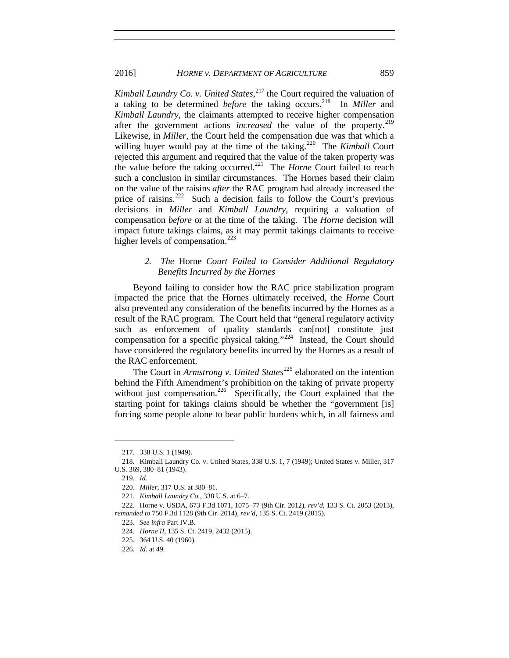*Kimball Laundry Co. v. United States*, [217](#page-22-0) the Court required the valuation of a taking to be determined *before* the taking occurs.[218](#page-22-1) In *Miller* and *Kimball Laundry*, the claimants attempted to receive higher compensation after the government actions *increased* the value of the property.<sup>[219](#page-22-2)</sup> Likewise, in *Miller*, the Court held the compensation due was that which a willing buyer would pay at the time of the taking.<sup>220</sup> The *Kimball* Court rejected this argument and required that the value of the taken property was the value before the taking occurred.[221](#page-22-4) The *Horne* Court failed to reach such a conclusion in similar circumstances. The Hornes based their claim on the value of the raisins *after* the RAC program had already increased the price of raisins.<sup>[222](#page-22-5)</sup> Such a decision fails to follow the Court's previous decisions in *Miller* and *Kimball Laundry*, requiring a valuation of compensation *before* or at the time of the taking. The *Horne* decision will impact future takings claims, as it may permit takings claimants to receive higher levels of compensation.<sup>[223](#page-22-6)</sup>

# *2. The* Horne *Court Failed to Consider Additional Regulatory Benefits Incurred by the Hornes*

Beyond failing to consider how the RAC price stabilization program impacted the price that the Hornes ultimately received, the *Horne* Court also prevented any consideration of the benefits incurred by the Hornes as a result of the RAC program. The Court held that "general regulatory activity such as enforcement of quality standards can[not] constitute just compensation for a specific physical taking."<sup>224</sup> Instead, the Court should have considered the regulatory benefits incurred by the Hornes as a result of the RAC enforcement.

The Court in *Armstrong v. United States*<sup>[225](#page-22-8)</sup> elaborated on the intention behind the Fifth Amendment's prohibition on the taking of private property without just compensation.<sup>[226](#page-22-9)</sup> Specifically, the Court explained that the starting point for takings claims should be whether the "government [is] forcing some people alone to bear public burdens which, in all fairness and

<sup>217.</sup> 338 U.S. 1 (1949).

<span id="page-22-2"></span><span id="page-22-1"></span><span id="page-22-0"></span><sup>218.</sup> Kimball Laundry Co. v. United States, 338 U.S. 1, 7 (1949); United States v. Miller, 317 U.S. 369, 380–81 (1943).

<sup>219.</sup> *Id.*

<sup>220.</sup> *Miller*, 317 U.S. at 380–81.

<sup>221.</sup> *Kimball Laundry Co.*, 338 U.S. at 6–7.

<span id="page-22-8"></span><span id="page-22-7"></span><span id="page-22-6"></span><span id="page-22-5"></span><span id="page-22-4"></span><span id="page-22-3"></span><sup>222.</sup> Horne v. USDA, 673 F.3d 1071, 1075–77 (9th Cir. 2012), *rev'd*, 133 S. Ct. 2053 (2013), *remanded to* 750 F.3d 1128 (9th Cir. 2014), *rev'd*, 135 S. Ct. 2419 (2015).

<sup>223.</sup> *See infra* Part IV.B.

<sup>224.</sup> *Horne II*, 135 S. Ct. 2419, 2432 (2015).

<sup>225.</sup> 364 U.S. 40 (1960).

<span id="page-22-9"></span><sup>226.</sup> *Id.* at 49.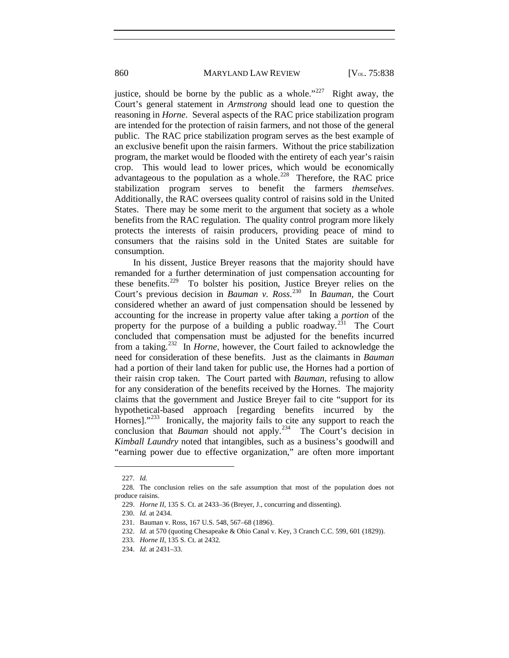860 MARYLAND LAW REVIEW [V<sub>OL.</sub> 75:838

justice, should be borne by the public as a whole."<sup>[227](#page-23-0)</sup> Right away, the Court's general statement in *Armstrong* should lead one to question the reasoning in *Horne*. Several aspects of the RAC price stabilization program are intended for the protection of raisin farmers, and not those of the general public. The RAC price stabilization program serves as the best example of an exclusive benefit upon the raisin farmers. Without the price stabilization program, the market would be flooded with the entirety of each year's raisin crop. This would lead to lower prices, which would be economically advantageous to the population as  $\alpha$  whole.<sup>228</sup> Therefore, the RAC price stabilization program serves to benefit the farmers *themselves*. Additionally, the RAC oversees quality control of raisins sold in the United States. There may be some merit to the argument that society as a whole benefits from the RAC regulation. The quality control program more likely protects the interests of raisin producers, providing peace of mind to consumers that the raisins sold in the United States are suitable for consumption.

In his dissent, Justice Breyer reasons that the majority should have remanded for a further determination of just compensation accounting for these benefits.[229](#page-23-2) To bolster his position, Justice Breyer relies on the Court's previous decision in *Bauman v. Ross*. [230](#page-23-3) In *Bauman*, the Court considered whether an award of just compensation should be lessened by accounting for the increase in property value after taking a *portion* of the property for the purpose of a building a public roadway.<sup>231</sup> The Court concluded that compensation must be adjusted for the benefits incurred from a taking.[232](#page-23-5) In *Horne*, however, the Court failed to acknowledge the need for consideration of these benefits. Just as the claimants in *Bauman* had a portion of their land taken for public use, the Hornes had a portion of their raisin crop taken. The Court parted with *Bauman*, refusing to allow for any consideration of the benefits received by the Hornes. The majority claims that the government and Justice Breyer fail to cite "support for its hypothetical-based approach [regarding benefits incurred by the Hornes]."<sup>[233](#page-23-6)</sup> Ironically, the majority fails to cite any support to reach the conclusion that *Bauman* should not apply.<sup>234</sup> The Court's decision in *Kimball Laundry* noted that intangibles, such as a business's goodwill and "earning power due to effective organization," are often more important

<sup>227.</sup> *Id.*

<span id="page-23-4"></span><span id="page-23-3"></span><span id="page-23-2"></span><span id="page-23-1"></span><span id="page-23-0"></span><sup>228.</sup> The conclusion relies on the safe assumption that most of the population does not produce raisins.

<sup>229.</sup> *Horne II*, 135 S. Ct. at 2433–36 (Breyer, J., concurring and dissenting).

<sup>230.</sup> *Id.* at 2434.

<sup>231.</sup> Bauman v. Ross, 167 U.S. 548, 567–68 (1896).

<span id="page-23-5"></span><sup>232.</sup> *Id.* at 570 (quoting Chesapeake & Ohio Canal v. Key, 3 Cranch C.C. 599, 601 (1829)).

<span id="page-23-6"></span><sup>233.</sup> *Horne II*, 135 S. Ct. at 2432.

<span id="page-23-7"></span><sup>234.</sup> *Id.* at 2431–33.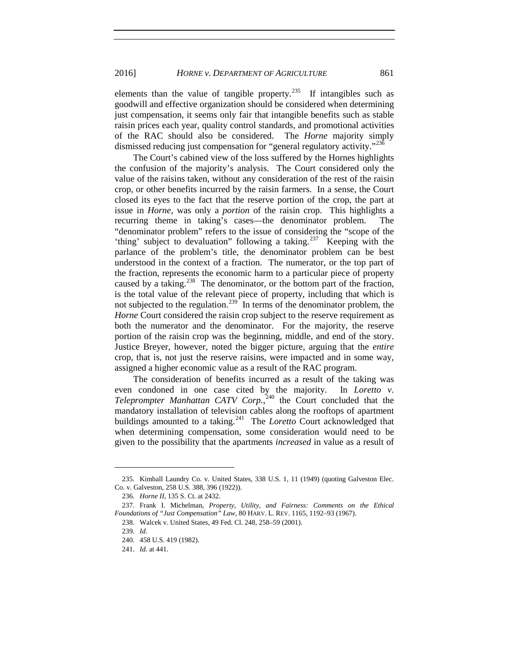#### 2016] *HORNE v. DEPARTMENT OF AGRICULTURE* 861

elements than the value of tangible property.<sup>235</sup> If intangibles such as goodwill and effective organization should be considered when determining just compensation, it seems only fair that intangible benefits such as stable raisin prices each year, quality control standards, and promotional activities of the RAC should also be considered. The *Horne* majority simply dismissed reducing just compensation for "general regulatory activity."<sup>[236](#page-24-1)</sup>

The Court's cabined view of the loss suffered by the Hornes highlights the confusion of the majority's analysis. The Court considered only the value of the raisins taken, without any consideration of the rest of the raisin crop, or other benefits incurred by the raisin farmers. In a sense, the Court closed its eyes to the fact that the reserve portion of the crop, the part at issue in *Horne*, was only a *portion* of the raisin crop. This highlights a recurring theme in taking's cases—the denominator problem. The "denominator problem" refers to the issue of considering the "scope of the 'thing' subject to devaluation" following a taking.<sup>[237](#page-24-2)</sup> Keeping with the parlance of the problem's title, the denominator problem can be best understood in the context of a fraction. The numerator, or the top part of the fraction, represents the economic harm to a particular piece of property caused by a taking.<sup>238</sup> The denominator, or the bottom part of the fraction, is the total value of the relevant piece of property, including that which is not subjected to the regulation.<sup>239</sup> In terms of the denominator problem, the *Horne* Court considered the raisin crop subject to the reserve requirement as both the numerator and the denominator. For the majority, the reserve portion of the raisin crop was the beginning, middle, and end of the story. Justice Breyer, however, noted the bigger picture, arguing that the *entire* crop, that is, not just the reserve raisins, were impacted and in some way, assigned a higher economic value as a result of the RAC program.

The consideration of benefits incurred as a result of the taking was even condoned in one case cited by the majority. In *Loretto v. Teleprompter Manhattan CATV Corp.*, [240](#page-24-5) the Court concluded that the mandatory installation of television cables along the rooftops of apartment buildings amounted to a taking.<sup>241</sup> The *Loretto* Court acknowledged that when determining compensation, some consideration would need to be given to the possibility that the apartments *increased* in value as a result of

<span id="page-24-0"></span><sup>235.</sup> Kimball Laundry Co. v. United States, 338 U.S. 1, 11 (1949) (quoting Galveston Elec. Co. v. Galveston, 258 U.S. 388, 396 (1922)).

<sup>236.</sup> *Horne II*, 135 S. Ct. at 2432.

<span id="page-24-5"></span><span id="page-24-4"></span><span id="page-24-3"></span><span id="page-24-2"></span><span id="page-24-1"></span><sup>237.</sup> Frank I. Michelman, *Property, Utility, and Fairness: Comments on the Ethical Foundations of "Just Compensation" Law*, 80 HARV. L. REV. 1165, 1192–93 (1967).

<sup>238.</sup> Walcek v. United States, 49 Fed. Cl. 248, 258–59 (2001).

<sup>239.</sup> *Id.* 

<sup>240.</sup> 458 U.S. 419 (1982).

<span id="page-24-6"></span><sup>241.</sup> *Id.* at 441.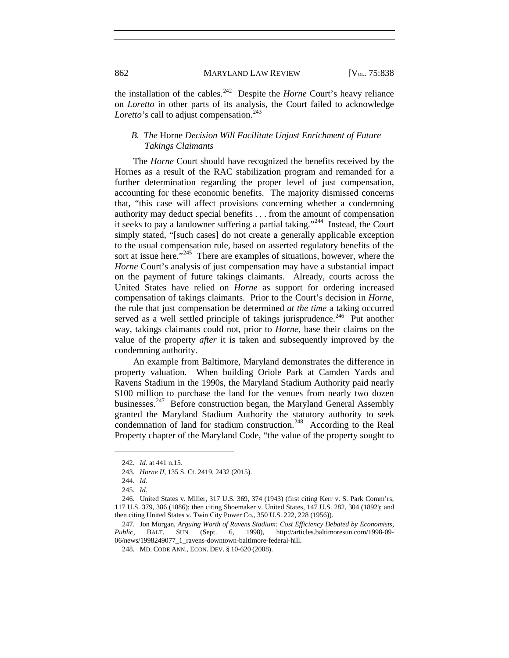862 MARYLAND LAW REVIEW [V<sub>OL.</sub> 75:838]

the installation of the cables.<sup>[242](#page-25-0)</sup> Despite the *Horne* Court's heavy reliance on *Loretto* in other parts of its analysis, the Court failed to acknowledge *Loretto's* call to adjust compensation.<sup>[243](#page-25-1)</sup>

# *B. The* Horne *Decision Will Facilitate Unjust Enrichment of Future Takings Claimants*

The *Horne* Court should have recognized the benefits received by the Hornes as a result of the RAC stabilization program and remanded for a further determination regarding the proper level of just compensation, accounting for these economic benefits. The majority dismissed concerns that, "this case will affect provisions concerning whether a condemning authority may deduct special benefits . . . from the amount of compensation it seeks to pay a landowner suffering a partial taking."[244](#page-25-2) Instead, the Court simply stated, "[such cases] do not create a generally applicable exception to the usual compensation rule, based on asserted regulatory benefits of the sort at issue here." $245$  There are examples of situations, however, where the *Horne* Court's analysis of just compensation may have a substantial impact on the payment of future takings claimants. Already, courts across the United States have relied on *Horne* as support for ordering increased compensation of takings claimants. Prior to the Court's decision in *Horne*, the rule that just compensation be determined *at the time* a taking occurred served as a well settled principle of takings jurisprudence.<sup>[246](#page-25-4)</sup> Put another way, takings claimants could not, prior to *Horne*, base their claims on the value of the property *after* it is taken and subsequently improved by the condemning authority.

An example from Baltimore, Maryland demonstrates the difference in property valuation. When building Oriole Park at Camden Yards and Ravens Stadium in the 1990s, the Maryland Stadium Authority paid nearly \$100 million to purchase the land for the venues from nearly two dozen businesses.<sup>[247](#page-25-5)</sup> Before construction began, the Maryland General Assembly granted the Maryland Stadium Authority the statutory authority to seek condemnation of land for stadium construction.<sup>248</sup> According to the Real Property chapter of the Maryland Code, "the value of the property sought to

<sup>242.</sup> *Id.* at 441 n.15.

<sup>243.</sup> *Horne II*, 135 S. Ct. 2419, 2432 (2015).

<sup>244.</sup> *Id.* 

<sup>245.</sup> *Id.* 

<span id="page-25-4"></span><span id="page-25-3"></span><span id="page-25-2"></span><span id="page-25-1"></span><span id="page-25-0"></span><sup>246.</sup> United States v. Miller, 317 U.S. 369, 374 (1943) (first citing Kerr v. S. Park Comm'rs, 117 U.S. 379, 386 (1886); then citing Shoemaker v. United States, 147 U.S. 282, 304 (1892); and then citing United States v. Twin City Power Co., 350 U.S. 222, 228 (1956)).

<span id="page-25-6"></span><span id="page-25-5"></span><sup>247.</sup> Jon Morgan, *Arguing Worth of Ravens Stadium: Cost Efficiency Debated by Economists, Public*, BALT. SUN (Sept. 6, 1998), http://articles.baltimoresun.com/1998-09- 06/news/1998249077\_1\_ravens-downtown-baltimore-federal-hill.

<sup>248.</sup> MD. CODE ANN., ECON. DEV. § 10-620 (2008).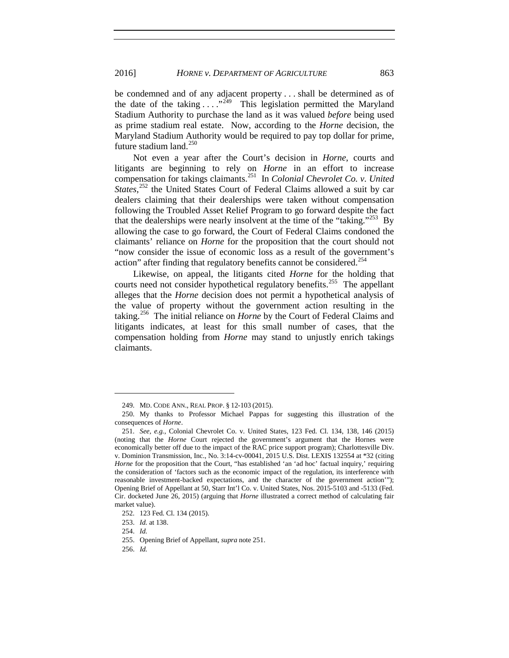be condemned and of any adjacent property . . . shall be determined as of the date of the taking  $\ldots$  ."<sup>249</sup> This legislation permitted the Maryland Stadium Authority to purchase the land as it was valued *before* being used as prime stadium real estate. Now, according to the *Horne* decision, the Maryland Stadium Authority would be required to pay top dollar for prime, future stadium land. $250$ 

<span id="page-26-0"></span>Not even a year after the Court's decision in *Horne*, courts and litigants are beginning to rely on *Horne* in an effort to increase compensation for takings claimants.[251](#page-26-3) In *Colonial Chevrolet Co. v. United*  States,<sup>[252](#page-26-4)</sup> the United States Court of Federal Claims allowed a suit by car dealers claiming that their dealerships were taken without compensation following the Troubled Asset Relief Program to go forward despite the fact that the dealerships were nearly insolvent at the time of the "taking."<sup>253</sup> By allowing the case to go forward, the Court of Federal Claims condoned the claimants' reliance on *Horne* for the proposition that the court should not "now consider the issue of economic loss as a result of the government's action" after finding that regulatory benefits cannot be considered.<sup>[254](#page-26-6)</sup>

Likewise, on appeal, the litigants cited *Horne* for the holding that courts need not consider hypothetical regulatory benefits.<sup>255</sup> The appellant alleges that the *Horne* decision does not permit a hypothetical analysis of the value of property without the government action resulting in the taking.[256](#page-26-8) The initial reliance on *Horne* by the Court of Federal Claims and litigants indicates, at least for this small number of cases, that the compensation holding from *Horne* may stand to unjustly enrich takings claimants.

<sup>249.</sup> MD. CODE ANN., REAL PROP. § 12-103 (2015).

<span id="page-26-2"></span><span id="page-26-1"></span><sup>250.</sup> My thanks to Professor Michael Pappas for suggesting this illustration of the consequences of *Horne*.

<span id="page-26-3"></span><sup>251.</sup> *See, e.g.*, Colonial Chevrolet Co. v. United States, 123 Fed. Cl. 134, 138, 146 (2015) (noting that the *Horne* Court rejected the government's argument that the Hornes were economically better off due to the impact of the RAC price support program); Charlottesville Div. v. Dominion Transmission, Inc., No. 3:14-cv-00041, 2015 U.S. Dist. LEXIS 132554 at \*32 (citing *Horne* for the proposition that the Court, "has established 'an 'ad hoc' factual inquiry,' requiring the consideration of 'factors such as the economic impact of the regulation, its interference with reasonable investment-backed expectations, and the character of the government action'"); Opening Brief of Appellant at 50, Starr Int'l Co. v. United States, Nos. 2015-5103 and -5133 (Fed. Cir. docketed June 26, 2015) (arguing that *Horne* illustrated a correct method of calculating fair market value).

<sup>252.</sup> 123 Fed. Cl. 134 (2015).

<span id="page-26-7"></span><span id="page-26-6"></span><span id="page-26-5"></span><span id="page-26-4"></span><sup>253.</sup> *Id.* at 138.

<sup>254.</sup> *Id.*

<sup>255.</sup> Opening Brief of Appellant, *supra* not[e 251.](#page-26-0)

<span id="page-26-8"></span><sup>256.</sup> *Id.*